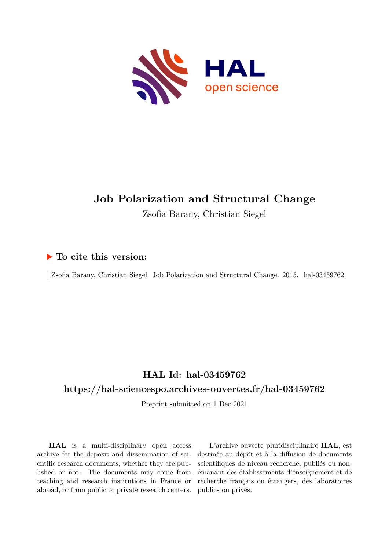

# **Job Polarization and Structural Change**

Zsofia Barany, Christian Siegel

# **To cite this version:**

| Zsofia Barany, Christian Siegel. Job Polarization and Structural Change. 2015. hal-03459762

# **HAL Id: hal-03459762**

## **<https://hal-sciencespo.archives-ouvertes.fr/hal-03459762>**

Preprint submitted on 1 Dec 2021

**HAL** is a multi-disciplinary open access archive for the deposit and dissemination of scientific research documents, whether they are published or not. The documents may come from teaching and research institutions in France or abroad, or from public or private research centers.

L'archive ouverte pluridisciplinaire **HAL**, est destinée au dépôt et à la diffusion de documents scientifiques de niveau recherche, publiés ou non, émanant des établissements d'enseignement et de recherche français ou étrangers, des laboratoires publics ou privés.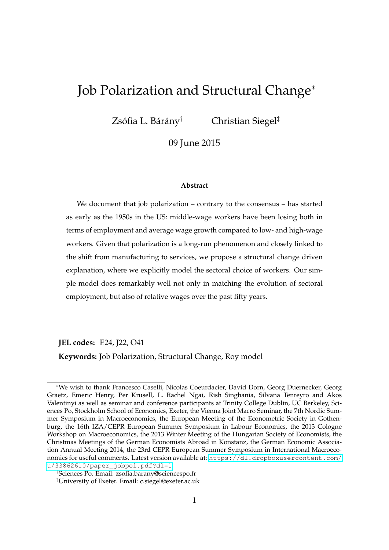# Job Polarization and Structural Change<sup>∗</sup>

 $Zs$ ófia L. Bárány $^{\dagger}$ 

† Christian Siegel‡

09 June 2015

#### **Abstract**

We document that job polarization – contrary to the consensus – has started as early as the 1950s in the US: middle-wage workers have been losing both in terms of employment and average wage growth compared to low- and high-wage workers. Given that polarization is a long-run phenomenon and closely linked to the shift from manufacturing to services, we propose a structural change driven explanation, where we explicitly model the sectoral choice of workers. Our simple model does remarkably well not only in matching the evolution of sectoral employment, but also of relative wages over the past fifty years.

**JEL codes:** E24, J22, O41

**Keywords:** Job Polarization, Structural Change, Roy model

<sup>∗</sup>We wish to thank Francesco Caselli, Nicolas Coeurdacier, David Dorn, Georg Duernecker, Georg Graetz, Emeric Henry, Per Krusell, L. Rachel Ngai, Rish Singhania, Silvana Tenreyro and Akos Valentinyi as well as seminar and conference participants at Trinity College Dublin, UC Berkeley, Sciences Po, Stockholm School of Economics, Exeter, the Vienna Joint Macro Seminar, the 7th Nordic Summer Symposium in Macroeconomics, the European Meeting of the Econometric Society in Gothenburg, the 16th IZA/CEPR European Summer Symposium in Labour Economics, the 2013 Cologne Workshop on Macroeconomics, the 2013 Winter Meeting of the Hungarian Society of Economists, the Christmas Meetings of the German Economists Abroad in Konstanz, the German Economic Association Annual Meeting 2014, the 23rd CEPR European Summer Symposium in International Macroeconomics for useful comments. Latest version available at: [https://dl.dropboxusercontent.com/](https://dl.dropboxusercontent.com/u/33862610/paper_jobpol.pdf?dl=1) [u/33862610/paper\\_jobpol.pdf?dl=1](https://dl.dropboxusercontent.com/u/33862610/paper_jobpol.pdf?dl=1)

<sup>†</sup>Sciences Po. Email: zsofia.barany@sciencespo.fr

<sup>‡</sup>University of Exeter. Email: c.siegel@exeter.ac.uk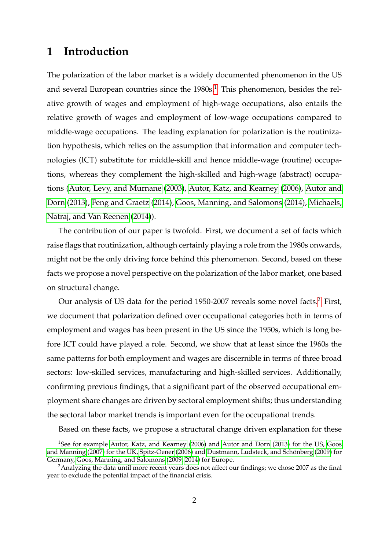# **1 Introduction**

The polarization of the labor market is a widely documented phenomenon in the US and several European countries since the  $1980s<sup>1</sup>$ . This phenomenon, besides the relative growth of wages and employment of high-wage occupations, also entails the relative growth of wages and employment of low-wage occupations compared to middle-wage occupations. The leading explanation for polarization is the routinization hypothesis, which relies on the assumption that information and computer technologies (ICT) substitute for middle-skill and hence middle-wage (routine) occupations, whereas they complement the high-skilled and high-wage (abstract) occupations (Autor, Levy, and Murnane (2003), Autor, Katz, and Kearney (2006), Autor and Dorn (2013), Feng and Graetz (2014), Goos, Manning, and Salomons (2014), Michaels, Natraj, and Van Reenen (2014)).

The contribution of our paper is twofold. First, we document a set of facts which raise flags that routinization, although certainly playing a role from the 1980s onwards, might not be the only driving force behind this phenomenon. Second, based on these facts we propose a novel perspective on the polarization of the labor market, one based on structural change.

Our analysis of US data for the period 1950-2007 reveals some novel facts.<sup>2</sup> First, we document that polarization defined over occupational categories both in terms of employment and wages has been present in the US since the 1950s, which is long before ICT could have played a role. Second, we show that at least since the 1960s the same patterns for both employment and wages are discernible in terms of three broad sectors: low-skilled services, manufacturing and high-skilled services. Additionally, confirming previous findings, that a significant part of the observed occupational employment share changes are driven by sectoral employment shifts; thus understanding the sectoral labor market trends is important even for the occupational trends.

Based on these facts, we propose a structural change driven explanation for these

<sup>&</sup>lt;sup>1</sup>See for example Autor, Katz, and Kearney (2006) and Autor and Dorn (2013) for the US, Goos and Manning (2007) for the UK, Spitz-Oener (2006) and Dustmann, Ludsteck, and Schönberg (2009) for Germany, Goos, Manning, and Salomons (2009, 2014) for Europe.

 $2A$ nalyzing the data until more recent years does not affect our findings; we chose 2007 as the final year to exclude the potential impact of the financial crisis.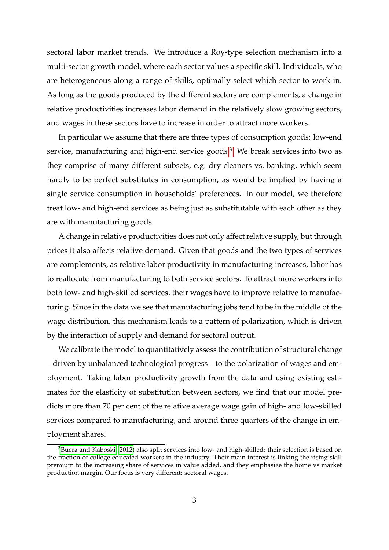sectoral labor market trends. We introduce a Roy-type selection mechanism into a multi-sector growth model, where each sector values a specific skill. Individuals, who are heterogeneous along a range of skills, optimally select which sector to work in. As long as the goods produced by the different sectors are complements, a change in relative productivities increases labor demand in the relatively slow growing sectors, and wages in these sectors have to increase in order to attract more workers.

In particular we assume that there are three types of consumption goods: low-end service, manufacturing and high-end service goods.<sup>3</sup> We break services into two as they comprise of many different subsets, e.g. dry cleaners vs. banking, which seem hardly to be perfect substitutes in consumption, as would be implied by having a single service consumption in households' preferences. In our model, we therefore treat low- and high-end services as being just as substitutable with each other as they are with manufacturing goods.

A change in relative productivities does not only affect relative supply, but through prices it also affects relative demand. Given that goods and the two types of services are complements, as relative labor productivity in manufacturing increases, labor has to reallocate from manufacturing to both service sectors. To attract more workers into both low- and high-skilled services, their wages have to improve relative to manufacturing. Since in the data we see that manufacturing jobs tend to be in the middle of the wage distribution, this mechanism leads to a pattern of polarization, which is driven by the interaction of supply and demand for sectoral output.

We calibrate the model to quantitatively assess the contribution of structural change – driven by unbalanced technological progress – to the polarization of wages and employment. Taking labor productivity growth from the data and using existing estimates for the elasticity of substitution between sectors, we find that our model predicts more than 70 per cent of the relative average wage gain of high- and low-skilled services compared to manufacturing, and around three quarters of the change in employment shares.

<sup>&</sup>lt;sup>3</sup>Buera and Kaboski (2012) also split services into low- and high-skilled: their selection is based on the fraction of college educated workers in the industry. Their main interest is linking the rising skill premium to the increasing share of services in value added, and they emphasize the home vs market production margin. Our focus is very different: sectoral wages.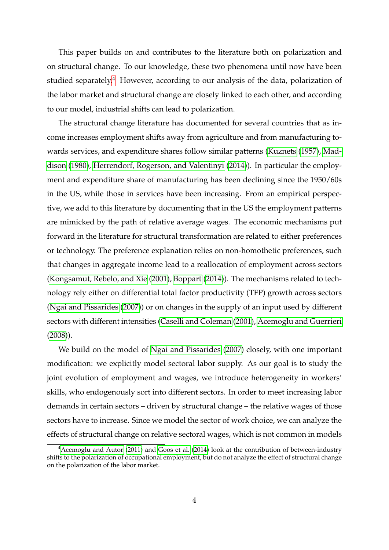This paper builds on and contributes to the literature both on polarization and on structural change. To our knowledge, these two phenomena until now have been studied separately.<sup>4</sup> However, according to our analysis of the data, polarization of the labor market and structural change are closely linked to each other, and according to our model, industrial shifts can lead to polarization.

The structural change literature has documented for several countries that as income increases employment shifts away from agriculture and from manufacturing towards services, and expenditure shares follow similar patterns (Kuznets (1957), Maddison (1980), Herrendorf, Rogerson, and Valentinyi (2014)). In particular the employment and expenditure share of manufacturing has been declining since the 1950/60s in the US, while those in services have been increasing. From an empirical perspective, we add to this literature by documenting that in the US the employment patterns are mimicked by the path of relative average wages. The economic mechanisms put forward in the literature for structural transformation are related to either preferences or technology. The preference explanation relies on non-homothetic preferences, such that changes in aggregate income lead to a reallocation of employment across sectors (Kongsamut, Rebelo, and Xie (2001), Boppart (2014)). The mechanisms related to technology rely either on differential total factor productivity (TFP) growth across sectors (Ngai and Pissarides (2007)) or on changes in the supply of an input used by different sectors with different intensities (Caselli and Coleman (2001), Acemoglu and Guerrieri (2008)).

We build on the model of Ngai and Pissarides (2007) closely, with one important modification: we explicitly model sectoral labor supply. As our goal is to study the joint evolution of employment and wages, we introduce heterogeneity in workers' skills, who endogenously sort into different sectors. In order to meet increasing labor demands in certain sectors – driven by structural change – the relative wages of those sectors have to increase. Since we model the sector of work choice, we can analyze the effects of structural change on relative sectoral wages, which is not common in models

<sup>&</sup>lt;sup>4</sup> Acemoglu and Autor (2011) and Goos et al. (2014) look at the contribution of between-industry shifts to the polarization of occupational employment, but do not analyze the effect of structural change on the polarization of the labor market.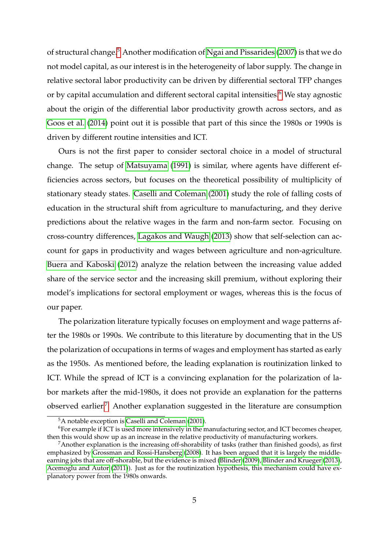of structural change.<sup>5</sup> Another modification of Ngai and Pissarides (2007) is that we do not model capital, as our interest is in the heterogeneity of labor supply. The change in relative sectoral labor productivity can be driven by differential sectoral TFP changes or by capital accumulation and different sectoral capital intensities.<sup>6</sup> We stay agnostic about the origin of the differential labor productivity growth across sectors, and as Goos et al. (2014) point out it is possible that part of this since the 1980s or 1990s is driven by different routine intensities and ICT.

Ours is not the first paper to consider sectoral choice in a model of structural change. The setup of Matsuyama (1991) is similar, where agents have different efficiencies across sectors, but focuses on the theoretical possibility of multiplicity of stationary steady states. Caselli and Coleman (2001) study the role of falling costs of education in the structural shift from agriculture to manufacturing, and they derive predictions about the relative wages in the farm and non-farm sector. Focusing on cross-country differences, Lagakos and Waugh (2013) show that self-selection can account for gaps in productivity and wages between agriculture and non-agriculture. Buera and Kaboski (2012) analyze the relation between the increasing value added share of the service sector and the increasing skill premium, without exploring their model's implications for sectoral employment or wages, whereas this is the focus of our paper.

The polarization literature typically focuses on employment and wage patterns after the 1980s or 1990s. We contribute to this literature by documenting that in the US the polarization of occupations in terms of wages and employment has started as early as the 1950s. As mentioned before, the leading explanation is routinization linked to ICT. While the spread of ICT is a convincing explanation for the polarization of labor markets after the mid-1980s, it does not provide an explanation for the patterns observed earlier.7 Another explanation suggested in the literature are consumption

<sup>5</sup>A notable exception is Caselli and Coleman (2001).

<sup>6</sup>For example if ICT is used more intensively in the manufacturing sector, and ICT becomes cheaper, then this would show up as an increase in the relative productivity of manufacturing workers.

 $7A$ nother explanation is the increasing off-shorability of tasks (rather than finished goods), as first emphasized by Grossman and Rossi-Hansberg (2008). It has been argued that it is largely the middleearning jobs that are off-shorable, but the evidence is mixed (Blinder (2009), Blinder and Krueger (2013), Acemoglu and Autor (2011)). Just as for the routinization hypothesis, this mechanism could have explanatory power from the 1980s onwards.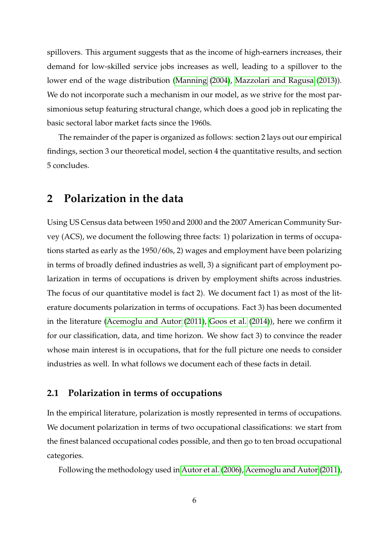spillovers. This argument suggests that as the income of high-earners increases, their demand for low-skilled service jobs increases as well, leading to a spillover to the lower end of the wage distribution (Manning (2004), Mazzolari and Ragusa (2013)). We do not incorporate such a mechanism in our model, as we strive for the most parsimonious setup featuring structural change, which does a good job in replicating the basic sectoral labor market facts since the 1960s.

The remainder of the paper is organized as follows: section 2 lays out our empirical findings, section 3 our theoretical model, section 4 the quantitative results, and section 5 concludes.

# **2 Polarization in the data**

Using US Census data between 1950 and 2000 and the 2007 American Community Survey (ACS), we document the following three facts: 1) polarization in terms of occupations started as early as the 1950/60s, 2) wages and employment have been polarizing in terms of broadly defined industries as well, 3) a significant part of employment polarization in terms of occupations is driven by employment shifts across industries. The focus of our quantitative model is fact 2). We document fact 1) as most of the literature documents polarization in terms of occupations. Fact 3) has been documented in the literature (Acemoglu and Autor (2011), Goos et al. (2014)), here we confirm it for our classification, data, and time horizon. We show fact 3) to convince the reader whose main interest is in occupations, that for the full picture one needs to consider industries as well. In what follows we document each of these facts in detail.

### **2.1 Polarization in terms of occupations**

In the empirical literature, polarization is mostly represented in terms of occupations. We document polarization in terms of two occupational classifications: we start from the finest balanced occupational codes possible, and then go to ten broad occupational categories.

Following the methodology used in Autor et al. (2006), Acemoglu and Autor (2011),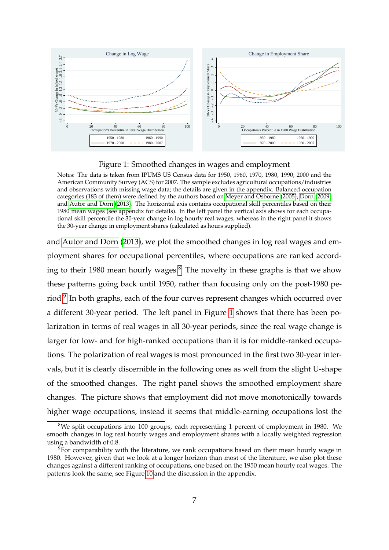

Figure 1: Smoothed changes in wages and employment

Notes: The data is taken from IPUMS US Census data for 1950, 1960, 1970, 1980, 1990, 2000 and the American Community Survey (ACS) for 2007. The sample excludes agricultural occupations/industries and observations with missing wage data; the details are given in the appendix. Balanced occupation categories (183 of them) were defined by the authors based on Meyer and Osborne (2005), Dorn (2009) and Autor and Dorn (2013). The horizontal axis contains occupational skill percentiles based on their 1980 mean wages (see appendix for details). In the left panel the vertical axis shows for each occupational skill percentile the 30-year change in log hourly real wages, whereas in the right panel it shows the 30-year change in employment shares (calculated as hours supplied).

and Autor and Dorn (2013), we plot the smoothed changes in log real wages and employment shares for occupational percentiles, where occupations are ranked according to their 1980 mean hourly wages. $\delta$  The novelty in these graphs is that we show these patterns going back until 1950, rather than focusing only on the post-1980 period.<sup>9</sup> In both graphs, each of the four curves represent changes which occurred over a different 30-year period. The left panel in Figure 1 shows that there has been polarization in terms of real wages in all 30-year periods, since the real wage change is larger for low- and for high-ranked occupations than it is for middle-ranked occupations. The polarization of real wages is most pronounced in the first two 30-year intervals, but it is clearly discernible in the following ones as well from the slight U-shape of the smoothed changes. The right panel shows the smoothed employment share changes. The picture shows that employment did not move monotonically towards higher wage occupations, instead it seems that middle-earning occupations lost the

 $8$ We split occupations into 100 groups, each representing 1 percent of employment in 1980. We smooth changes in log real hourly wages and employment shares with a locally weighted regression using a bandwidth of 0.8.

 $9$ For comparability with the literature, we rank occupations based on their mean hourly wage in 1980. However, given that we look at a longer horizon than most of the literature, we also plot these changes against a different ranking of occupations, one based on the 1950 mean hourly real wages. The patterns look the same, see Figure 10 and the discussion in the appendix.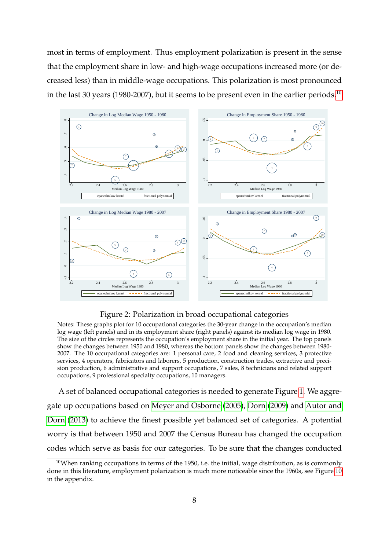most in terms of employment. Thus employment polarization is present in the sense that the employment share in low- and high-wage occupations increased more (or decreased less) than in middle-wage occupations. This polarization is most pronounced in the last 30 years (1980-2007), but it seems to be present even in the earlier periods.<sup>10</sup>



#### Figure 2: Polarization in broad occupational categories

Notes: These graphs plot for 10 occupational categories the 30-year change in the occupation's median log wage (left panels) and in its employment share (right panels) against its median log wage in 1980. The size of the circles represents the occupation's employment share in the initial year. The top panels show the changes between 1950 and 1980, whereas the bottom panels show the changes between 1980- 2007. The 10 occupational categories are: 1 personal care, 2 food and cleaning services, 3 protective services, 4 operators, fabricators and laborers, 5 production, construction trades, extractive and precision production, 6 administrative and support occupations, 7 sales, 8 technicians and related support occupations, 9 professional specialty occupations, 10 managers.

A set of balanced occupational categories is needed to generate Figure 1. We aggregate up occupations based on Meyer and Osborne (2005), Dorn (2009) and Autor and Dorn (2013) to achieve the finest possible yet balanced set of categories. A potential worry is that between 1950 and 2007 the Census Bureau has changed the occupation codes which serve as basis for our categories. To be sure that the changes conducted

 $10$ When ranking occupations in terms of the 1950, i.e. the initial, wage distribution, as is commonly done in this literature, employment polarization is much more noticeable since the 1960s, see Figure 10 in the appendix.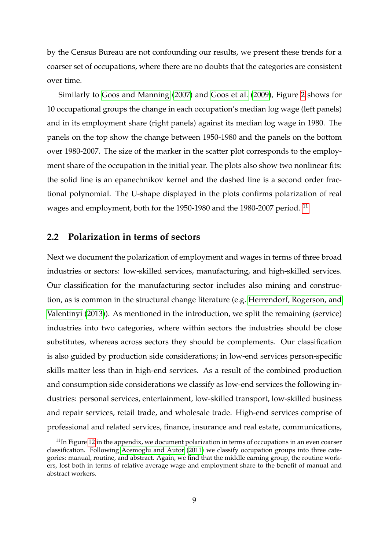by the Census Bureau are not confounding our results, we present these trends for a coarser set of occupations, where there are no doubts that the categories are consistent over time.

Similarly to Goos and Manning (2007) and Goos et al. (2009), Figure 2 shows for 10 occupational groups the change in each occupation's median log wage (left panels) and in its employment share (right panels) against its median log wage in 1980. The panels on the top show the change between 1950-1980 and the panels on the bottom over 1980-2007. The size of the marker in the scatter plot corresponds to the employment share of the occupation in the initial year. The plots also show two nonlinear fits: the solid line is an epanechnikov kernel and the dashed line is a second order fractional polynomial. The U-shape displayed in the plots confirms polarization of real wages and employment, both for the 1950-1980 and the 1980-2007 period.<sup>11</sup>

### **2.2 Polarization in terms of sectors**

Next we document the polarization of employment and wages in terms of three broad industries or sectors: low-skilled services, manufacturing, and high-skilled services. Our classification for the manufacturing sector includes also mining and construction, as is common in the structural change literature (e.g. Herrendorf, Rogerson, and Valentinyi (2013)). As mentioned in the introduction, we split the remaining (service) industries into two categories, where within sectors the industries should be close substitutes, whereas across sectors they should be complements. Our classification is also guided by production side considerations; in low-end services person-specific skills matter less than in high-end services. As a result of the combined production and consumption side considerations we classify as low-end services the following industries: personal services, entertainment, low-skilled transport, low-skilled business and repair services, retail trade, and wholesale trade. High-end services comprise of professional and related services, finance, insurance and real estate, communications,

 $11$ In Figure 12 in the appendix, we document polarization in terms of occupations in an even coarser classification. Following Acemoglu and Autor (2011) we classify occupation groups into three categories: manual, routine, and abstract. Again, we find that the middle earning group, the routine workers, lost both in terms of relative average wage and employment share to the benefit of manual and abstract workers.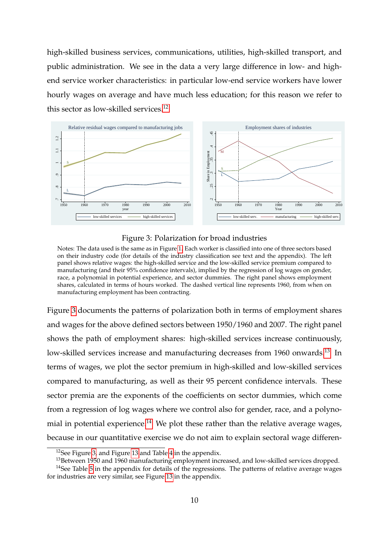high-skilled business services, communications, utilities, high-skilled transport, and public administration. We see in the data a very large difference in low- and highend service worker characteristics: in particular low-end service workers have lower hourly wages on average and have much less education; for this reason we refer to this sector as low-skilled services.<sup>12</sup>





Notes: The data used is the same as in Figure 1. Each worker is classified into one of three sectors based on their industry code (for details of the industry classification see text and the appendix). The left panel shows relative wages: the high-skilled service and the low-skilled service premium compared to manufacturing (and their 95% confidence intervals), implied by the regression of log wages on gender, race, a polynomial in potential experience, and sector dummies. The right panel shows employment shares, calculated in terms of hours worked. The dashed vertical line represents 1960, from when on manufacturing employment has been contracting.

Figure 3 documents the patterns of polarization both in terms of employment shares and wages for the above defined sectors between 1950/1960 and 2007. The right panel shows the path of employment shares: high-skilled services increase continuously, low-skilled services increase and manufacturing decreases from 1960 onwards.<sup>13</sup> In terms of wages, we plot the sector premium in high-skilled and low-skilled services compared to manufacturing, as well as their 95 percent confidence intervals. These sector premia are the exponents of the coefficients on sector dummies, which come from a regression of log wages where we control also for gender, race, and a polynomial in potential experience.<sup>14</sup> We plot these rather than the relative average wages, because in our quantitative exercise we do not aim to explain sectoral wage differen-

 $12$ See Figure 3, and Figure 13 and Table 4 in the appendix.

<sup>&</sup>lt;sup>13</sup>Between 1950 and 1960 manufacturing employment increased, and low-skilled services dropped.

<sup>&</sup>lt;sup>14</sup>See Table 5 in the appendix for details of the regressions. The patterns of relative average wages for industries are very similar, see Figure 13 in the appendix.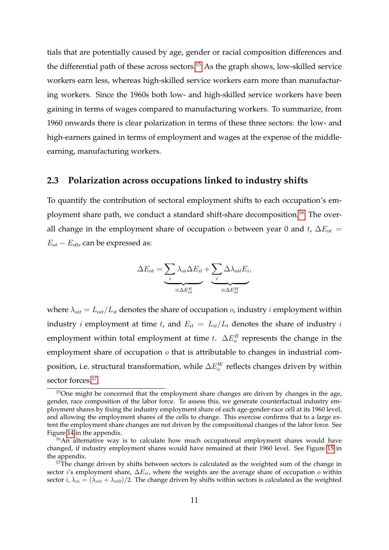tials that are potentially caused by age, gender or racial composition differences and the differential path of these across sectors. $15$  As the graph shows, low-skilled service workers earn less, whereas high-skilled service workers earn more than manufacturing workers. Since the 1960s both low- and high-skilled service workers have been gaining in terms of wages compared to manufacturing workers. To summarize, from 1960 onwards there is clear polarization in terms of these three sectors: the low- and high-earners gained in terms of employment and wages at the expense of the middleearning, manufacturing workers.

### **2.3 Polarization across occupations linked to industry shifts**

To quantify the contribution of sectoral employment shifts to each occupation's employment share path, we conduct a standard shift-share decomposition.<sup>16</sup> The overall change in the employment share of occupation  $o$  between year 0 and t,  $\Delta E_{ot}$  =  $E_{ot} - E_{o0}$ , can be expressed as:

$$
\Delta E_{ot} = \underbrace{\sum_{i} \lambda_{oi} \Delta E_{it}}_{\equiv \Delta E_{ot}^B} + \underbrace{\sum_{i} \Delta \lambda_{oit} E_{i}}_{\equiv \Delta E_{ot}^W},
$$

where  $\lambda_{oit} = L_{oit}/L_{it}$  denotes the share of occupation *o*, industry *i* employment within industry *i* employment at time *t*, and  $E_{it} = L_{it}/L_t$  denotes the share of industry *i* employment within total employment at time t.  $\Delta E_o^B$  represents the change in the employment share of occupation  $\sigma$  that is attributable to changes in industrial composition, i.e. structural transformation, while  $\Delta E_{o}^{W}$  reflects changes driven by within sector forces.<sup>17</sup>

 $15$ One might be concerned that the employment share changes are driven by changes in the age, gender, race composition of the labor force. To assess this, we generate counterfactual industry employment shares by fixing the industry employment share of each age-gender-race cell at its 1960 level, and allowing the employment shares of the cells to change. This exercise confirms that to a large extent the employment share changes are not driven by the compositional changes of the labor force. See Figure 14 in the appendix.

<sup>&</sup>lt;sup>16</sup>An alternative way is to calculate how much occupational employment shares would have changed, if industry employment shares would have remained at their 1960 level. See Figure 15 in the appendix.

 $17$ The change driven by shifts between sectors is calculated as the weighted sum of the change in sector i's employment share,  $\Delta E_{it}$ , where the weights are the average share of occupation o within sector i,  $\lambda_{oi} = (\lambda_{oit} + \lambda_{oi0})/2$ . The change driven by shifts within sectors is calculated as the weighted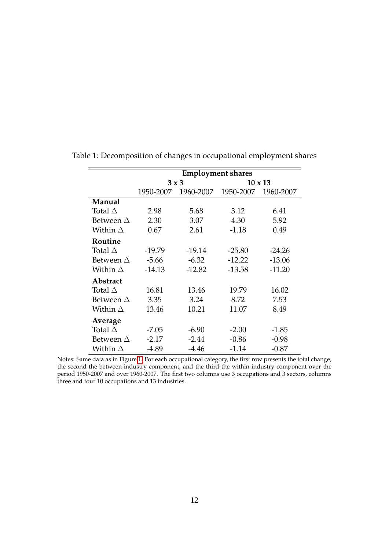|                  | <b>Employment shares</b> |           |                |           |  |  |  |  |
|------------------|--------------------------|-----------|----------------|-----------|--|--|--|--|
|                  | $3 \times 3$             |           | $10 \times 13$ |           |  |  |  |  |
|                  | 1950-2007                | 1960-2007 | 1950-2007      | 1960-2007 |  |  |  |  |
| Manual           |                          |           |                |           |  |  |  |  |
| Total $\Delta$   | 2.98                     | 5.68      | 3.12           | 6.41      |  |  |  |  |
| Between $\Delta$ | 2.30                     | 3.07      | 4.30           | 5.92      |  |  |  |  |
| Within $\Delta$  | 0.67                     | 2.61      | $-1.18$        | 0.49      |  |  |  |  |
| Routine          |                          |           |                |           |  |  |  |  |
| Total $\Delta$   | $-19.79$                 | $-19.14$  | $-25.80$       | $-24.26$  |  |  |  |  |
| Between $\Delta$ | $-5.66$                  | $-6.32$   | $-12.22$       | $-13.06$  |  |  |  |  |
| Within $\Delta$  | $-14.13$                 | $-12.82$  | $-13.58$       | $-11.20$  |  |  |  |  |
| Abstract         |                          |           |                |           |  |  |  |  |
| Total $\Delta$   | 16.81                    | 13.46     | 19.79          | 16.02     |  |  |  |  |
| Between $\Delta$ | 3.35                     | 3.24      | 8.72           | 7.53      |  |  |  |  |
| Within $\Delta$  | 13.46                    | 10.21     | 11.07          | 8.49      |  |  |  |  |
| Average          |                          |           |                |           |  |  |  |  |
| Total $\Delta$   | $-7.05$                  | $-6.90$   | $-2.00$        | $-1.85$   |  |  |  |  |
| Between $\Delta$ | $-2.17$                  | $-2.44$   | $-0.86$        | $-0.98$   |  |  |  |  |
| Within $\Delta$  | $-4.89$                  | $-4.46$   | $-1.14$        | $-0.87$   |  |  |  |  |

Table 1: Decomposition of changes in occupational employment shares

Notes: Same data as in Figure 1. For each occupational category, the first row presents the total change, the second the between-industry component, and the third the within-industry component over the period 1950-2007 and over 1960-2007. The first two columns use 3 occupations and 3 sectors, columns three and four 10 occupations and 13 industries.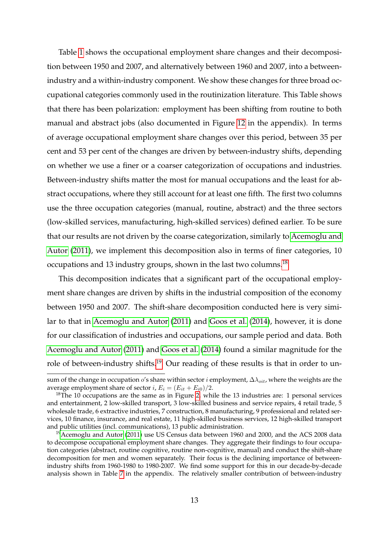Table 1 shows the occupational employment share changes and their decomposition between 1950 and 2007, and alternatively between 1960 and 2007, into a betweenindustry and a within-industry component. We show these changes for three broad occupational categories commonly used in the routinization literature. This Table shows that there has been polarization: employment has been shifting from routine to both manual and abstract jobs (also documented in Figure 12 in the appendix). In terms of average occupational employment share changes over this period, between 35 per cent and 53 per cent of the changes are driven by between-industry shifts, depending on whether we use a finer or a coarser categorization of occupations and industries. Between-industry shifts matter the most for manual occupations and the least for abstract occupations, where they still account for at least one fifth. The first two columns use the three occupation categories (manual, routine, abstract) and the three sectors (low-skilled services, manufacturing, high-skilled services) defined earlier. To be sure that our results are not driven by the coarse categorization, similarly to Acemoglu and Autor (2011), we implement this decomposition also in terms of finer categories, 10 occupations and 13 industry groups, shown in the last two columns.<sup>18</sup>

This decomposition indicates that a significant part of the occupational employment share changes are driven by shifts in the industrial composition of the economy between 1950 and 2007. The shift-share decomposition conducted here is very similar to that in Acemoglu and Autor (2011) and Goos et al. (2014), however, it is done for our classification of industries and occupations, our sample period and data. Both Acemoglu and Autor (2011) and Goos et al. (2014) found a similar magnitude for the role of between-industry shifts.<sup>19</sup> Our reading of these results is that in order to un-

sum of the change in occupation o's share within sector *i* employment,  $\Delta \lambda_{oit}$ , where the weights are the average employment share of sector *i*,  $E_i = (E_{it} + E_{i0})/2$ .

 $18$ The 10 occupations are the same as in Figure 2, while the 13 industries are: 1 personal services and entertainment, 2 low-skilled transport, 3 low-skilled business and service repairs, 4 retail trade, 5 wholesale trade, 6 extractive industries, 7 construction, 8 manufacturing, 9 professional and related services, 10 finance, insurance, and real estate, 11 high-skilled business services, 12 high-skilled transport and public utilities (incl. communications), 13 public administration.

<sup>&</sup>lt;sup>19</sup>Acemoglu and Autor (2011) use US Census data between 1960 and 2000, and the ACS 2008 data to decompose occupational employment share changes. They aggregate their findings to four occupation categories (abstract, routine cognitive, routine non-cognitive, manual) and conduct the shift-share decomposition for men and women separately. Their focus is the declining importance of betweenindustry shifts from 1960-1980 to 1980-2007. We find some support for this in our decade-by-decade analysis shown in Table 7 in the appendix. The relatively smaller contribution of between-industry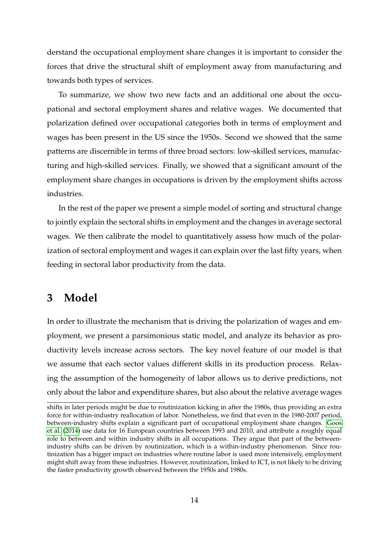derstand the occupational employment share changes it is important to consider the forces that drive the structural shift of employment away from manufacturing and towards both types of services.

To summarize, we show two new facts and an additional one about the occupational and sectoral employment shares and relative wages. We documented that polarization defined over occupational categories both in terms of employment and wages has been present in the US since the 1950s. Second we showed that the same patterns are discernible in terms of three broad sectors: low-skilled services, manufacturing and high-skilled services. Finally, we showed that a significant amount of the employment share changes in occupations is driven by the employment shifts across industries.

In the rest of the paper we present a simple model of sorting and structural change to jointly explain the sectoral shifts in employment and the changes in average sectoral wages. We then calibrate the model to quantitatively assess how much of the polarization of sectoral employment and wages it can explain over the last fifty years, when feeding in sectoral labor productivity from the data.

# **3 Model**

In order to illustrate the mechanism that is driving the polarization of wages and employment, we present a parsimonious static model, and analyze its behavior as productivity levels increase across sectors. The key novel feature of our model is that we assume that each sector values different skills in its production process. Relaxing the assumption of the homogeneity of labor allows us to derive predictions, not only about the labor and expenditure shares, but also about the relative average wages

shifts in later periods might be due to routinization kicking in after the 1980s, thus providing an extra force for within-industry reallocation of labor. Nonetheless, we find that even in the 1980-2007 period, between-industry shifts explain a significant part of occupational employment share changes. Goos et al. (2014) use data for 16 European countries between 1993 and 2010, and attribute a roughly equal role to between and within industry shifts in all occupations. They argue that part of the betweenindustry shifts can be driven by routinization, which is a within-industry phenomenon. Since routinization has a bigger impact on industries where routine labor is used more intensively, employment might shift away from these industries. However, routinization, linked to ICT, is not likely to be driving the faster productivity growth observed between the 1950s and 1980s.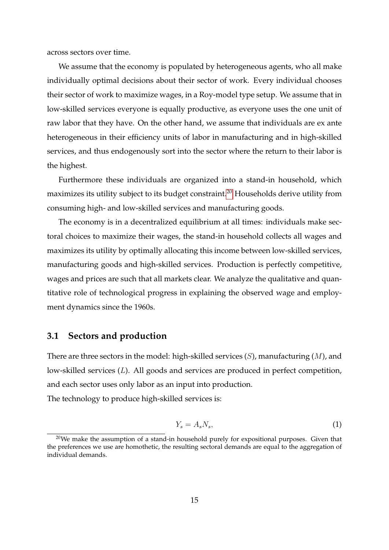across sectors over time.

We assume that the economy is populated by heterogeneous agents, who all make individually optimal decisions about their sector of work. Every individual chooses their sector of work to maximize wages, in a Roy-model type setup. We assume that in low-skilled services everyone is equally productive, as everyone uses the one unit of raw labor that they have. On the other hand, we assume that individuals are ex ante heterogeneous in their efficiency units of labor in manufacturing and in high-skilled services, and thus endogenously sort into the sector where the return to their labor is the highest.

Furthermore these individuals are organized into a stand-in household, which maximizes its utility subject to its budget constraint.<sup>20</sup> Households derive utility from consuming high- and low-skilled services and manufacturing goods.

The economy is in a decentralized equilibrium at all times: individuals make sectoral choices to maximize their wages, the stand-in household collects all wages and maximizes its utility by optimally allocating this income between low-skilled services, manufacturing goods and high-skilled services. Production is perfectly competitive, wages and prices are such that all markets clear. We analyze the qualitative and quantitative role of technological progress in explaining the observed wage and employment dynamics since the 1960s.

# **3.1 Sectors and production**

There are three sectors in the model: high-skilled services  $(S)$ , manufacturing  $(M)$ , and low-skilled services (L). All goods and services are produced in perfect competition, and each sector uses only labor as an input into production.

The technology to produce high-skilled services is:

$$
Y_s = A_s N_s,\tag{1}
$$

 $20$ We make the assumption of a stand-in household purely for expositional purposes. Given that the preferences we use are homothetic, the resulting sectoral demands are equal to the aggregation of individual demands.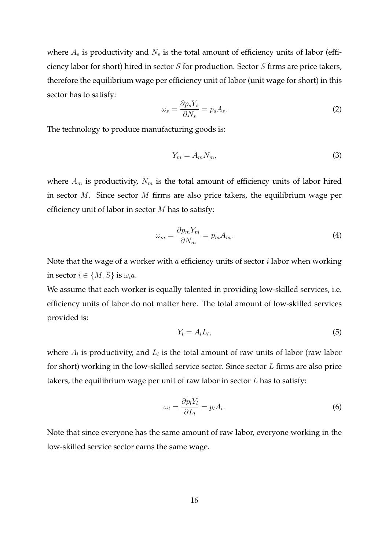where  $A_s$  is productivity and  $N_s$  is the total amount of efficiency units of labor (efficiency labor for short) hired in sector S for production. Sector S firms are price takers, therefore the equilibrium wage per efficiency unit of labor (unit wage for short) in this sector has to satisfy:

$$
\omega_s = \frac{\partial p_s Y_s}{\partial N_s} = p_s A_s. \tag{2}
$$

The technology to produce manufacturing goods is:

$$
Y_m = A_m N_m,\tag{3}
$$

where  $A_m$  is productivity,  $N_m$  is the total amount of efficiency units of labor hired in sector M. Since sector M firms are also price takers, the equilibrium wage per efficiency unit of labor in sector  $M$  has to satisfy:

$$
\omega_m = \frac{\partial p_m Y_m}{\partial N_m} = p_m A_m. \tag{4}
$$

Note that the wage of a worker with  $a$  efficiency units of sector  $i$  labor when working in sector  $i \in \{M, S\}$  is  $\omega_i a$ .

We assume that each worker is equally talented in providing low-skilled services, i.e. efficiency units of labor do not matter here. The total amount of low-skilled services provided is:

$$
Y_l = A_l L_l,\tag{5}
$$

where  $A_l$  is productivity, and  $L_l$  is the total amount of raw units of labor (raw labor for short) working in the low-skilled service sector. Since sector L firms are also price takers, the equilibrium wage per unit of raw labor in sector  $L$  has to satisfy:

$$
\omega_l = \frac{\partial p_l Y_l}{\partial L_l} = p_l A_l. \tag{6}
$$

Note that since everyone has the same amount of raw labor, everyone working in the low-skilled service sector earns the same wage.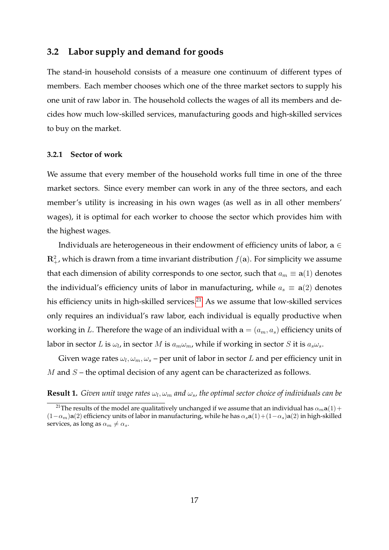### **3.2 Labor supply and demand for goods**

The stand-in household consists of a measure one continuum of different types of members. Each member chooses which one of the three market sectors to supply his one unit of raw labor in. The household collects the wages of all its members and decides how much low-skilled services, manufacturing goods and high-skilled services to buy on the market.

### **3.2.1 Sector of work**

We assume that every member of the household works full time in one of the three market sectors. Since every member can work in any of the three sectors, and each member's utility is increasing in his own wages (as well as in all other members' wages), it is optimal for each worker to choose the sector which provides him with the highest wages.

Individuals are heterogeneous in their endowment of efficiency units of labor,  $a \in$  $\mathbf{R}_+^2$ , which is drawn from a time invariant distribution  $f(\mathbf{a})$ . For simplicity we assume that each dimension of ability corresponds to one sector, such that  $a_m \equiv \mathbf{a}(1)$  denotes the individual's efficiency units of labor in manufacturing, while  $a_s \equiv \mathbf{a}(2)$  denotes his efficiency units in high-skilled services.<sup>21</sup> As we assume that low-skilled services only requires an individual's raw labor, each individual is equally productive when working in L. Therefore the wage of an individual with  $a = (a_m, a_s)$  efficiency units of labor in sector  $L$  is  $\omega_l$ , in sector  $M$  is  $a_m\omega_m$ , while if working in sector  $S$  it is  $a_s\omega_s.$ 

Given wage rates  $\omega_l, \omega_m, \omega_s$  – per unit of labor in sector  $L$  and per efficiency unit in  $M$  and  $S$  – the optimal decision of any agent can be characterized as follows.

#### **Result 1.** Given unit wage rates  $\omega_l, \omega_m$  and  $\omega_s$ , the optimal sector choice of individuals can be

<sup>&</sup>lt;sup>21</sup>The results of the model are qualitatively unchanged if we assume that an individual has  $\alpha_m$ **a**(1) +  $(1-\alpha_m)a(2)$  efficiency units of labor in manufacturing, while he has  $\alpha_s a(1)+(1-\alpha_s)a(2)$  in high-skilled services, as long as  $\alpha_m \neq \alpha_s$ .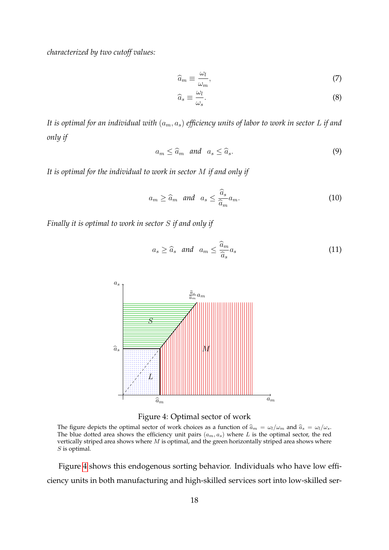*characterized by two cutoff values:*

$$
\widehat{a}_m \equiv \frac{\omega_l}{\omega_m},\tag{7}
$$

$$
\widehat{a}_s \equiv \frac{\omega_l}{\omega_s}.\tag{8}
$$

*It is optimal for an individual with*  $(a_m, a_s)$  *efficiency units of labor to work in sector* L *if and only if*

$$
a_m \leq \widehat{a}_m \quad \text{and} \quad a_s \leq \widehat{a}_s. \tag{9}
$$

*It is optimal for the individual to work in sector* M *if and only if*

$$
a_m \ge \widehat{a}_m \quad \text{and} \quad a_s \le \frac{\widehat{a}_s}{\widehat{a}_m} a_m. \tag{10}
$$

*Finally it is optimal to work in sector* S *if and only if*

$$
a_s \ge \widehat{a}_s \quad \text{and} \quad a_m \le \frac{\widehat{a}_m}{\widehat{a}_s} a_s \tag{11}
$$



Figure 4: Optimal sector of work

The figure depicts the optimal sector of work choices as a function of  $\hat{a}_m = \omega_l/\omega_m$  and  $\hat{a}_s = \omega_l/\omega_s$ . The blue dotted area shows the efficiency unit pairs  $(a_m, a_s)$  where L is the optimal sector, the red vertically striped area shows where  $M$  is optimal, and the green horizontally striped area shows where S is optimal.

Figure 4 shows this endogenous sorting behavior. Individuals who have low efficiency units in both manufacturing and high-skilled services sort into low-skilled ser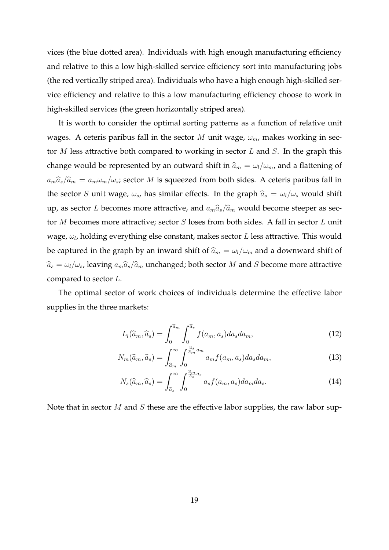vices (the blue dotted area). Individuals with high enough manufacturing efficiency and relative to this a low high-skilled service efficiency sort into manufacturing jobs (the red vertically striped area). Individuals who have a high enough high-skilled service efficiency and relative to this a low manufacturing efficiency choose to work in high-skilled services (the green horizontally striped area).

It is worth to consider the optimal sorting patterns as a function of relative unit wages. A ceteris paribus fall in the sector M unit wage,  $\omega_m$ , makes working in sector  $M$  less attractive both compared to working in sector  $L$  and  $S$ . In the graph this change would be represented by an outward shift in  $\widehat{a}_m = \omega_l/\omega_m$ , and a flattening of  $a_m\hat{a}_s/\hat{a}_m = a_m\omega_m/\omega_s$ ; sector M is squeezed from both sides. A ceteris paribus fall in the sector S unit wage,  $\omega_s$ , has similar effects. In the graph  $\hat{a}_s = \omega_l/\omega_s$  would shift up, as sector L becomes more attractive, and  $a_m\hat{a}_s/\hat{a}_m$  would become steeper as sector M becomes more attractive; sector S loses from both sides. A fall in sector L unit wage,  $\omega_l$ , holding everything else constant, makes sector  $L$  less attractive. This would be captured in the graph by an inward shift of  $\widehat{a}_m = \omega_l/\omega_m$  and a downward shift of  $\widehat{a}_s = \omega_l/\omega_s$ , leaving  $a_m\widehat{a}_s/\widehat{a}_m$  unchanged; both sector M and S become more attractive compared to sector L.

The optimal sector of work choices of individuals determine the effective labor supplies in the three markets:

$$
L_l(\widehat{a}_m, \widehat{a}_s) = \int_0^{\widehat{a}_m} \int_0^{\widehat{a}_s} f(a_m, a_s) da_s da_m,
$$
\n(12)

$$
N_m(\widehat{a}_m, \widehat{a}_s) = \int_{\widehat{a}_m}^{\infty} \int_0^{\frac{\widehat{a}_s}{\widehat{a}_m} a_m} a_m f(a_m, a_s) da_s da_m, \tag{13}
$$

$$
N_s(\widehat{a}_m, \widehat{a}_s) = \int_{\widehat{a}_s}^{\infty} \int_0^{\frac{\widehat{a}_m}{\widehat{a}_s} a_s} a_s f(a_m, a_s) da_m da_s.
$$
 (14)

Note that in sector  $M$  and  $S$  these are the effective labor supplies, the raw labor sup-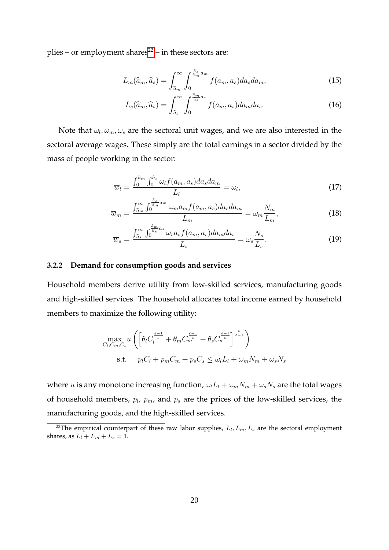plies – or employment shares $22$  – in these sectors are:

$$
L_m(\widehat{a}_m, \widehat{a}_s) = \int_{\widehat{a}_m}^{\infty} \int_0^{\frac{\widehat{a}_s}{\widehat{a}_m} a_m} f(a_m, a_s) da_s da_m,\tag{15}
$$

$$
L_s(\widehat{a}_m, \widehat{a}_s) = \int_{\widehat{a}_s}^{\infty} \int_0^{\frac{\widehat{a}_m}{\widehat{a}_s} a_s} f(a_m, a_s) da_m da_s.
$$
 (16)

Note that  $\omega_l, \omega_m, \omega_s$  are the sectoral unit wages, and we are also interested in the sectoral average wages. These simply are the total earnings in a sector divided by the mass of people working in the sector:

$$
\overline{w}_l = \frac{\int_0^{\widehat{a}_m} \int_0^{\widehat{a}_s} \omega_l f(a_m, a_s) da_s da_m}{L_l} = \omega_l,
$$
\n(17)

$$
\overline{w}_m = \frac{\int_{\widehat{a}_m}^{\infty} \int_0^{\frac{a_s}{\widehat{a}_m} a_m} \omega_m a_m f(a_m, a_s) da_s da_m}{L_m} = \omega_m \frac{N_m}{L_m},\tag{18}
$$

$$
\overline{w}_s = \frac{\int_{\widehat{a}_s}^{\infty} \int_0^{\frac{\widehat{a}_m}{\widehat{a}_s} a_s} \omega_s a_s f(a_m, a_s) da_m da_s}{L_s} = \omega_s \frac{N_s}{L_s}.
$$
\n(19)

#### **3.2.2 Demand for consumption goods and services**

Household members derive utility from low-skilled services, manufacturing goods and high-skilled services. The household allocates total income earned by household members to maximize the following utility:

$$
\max_{C_l, C_m, C_s} u \left( \left[ \theta_l C_l^{\frac{\varepsilon - 1}{\varepsilon}} + \theta_m C_m^{\frac{\varepsilon - 1}{\varepsilon}} + \theta_s C_s^{\frac{\varepsilon - 1}{\varepsilon}} \right]^\frac{\varepsilon}{\varepsilon - 1} \right)
$$
  
s.t.  $p_l C_l + p_m C_m + p_s C_s \le \omega_l L_l + \omega_m N_m + \omega_s N_s$ 

where *u* is any monotone increasing function,  $\omega_l L_l + \omega_m N_m + \omega_s N_s$  are the total wages of household members,  $p_l$ ,  $p_m$ , and  $p_s$  are the prices of the low-skilled services, the manufacturing goods, and the high-skilled services.

<sup>&</sup>lt;sup>22</sup>The empirical counterpart of these raw labor supplies,  $L_l, L_m, L_s$  are the sectoral employment shares, as  $L_l + L_m + L_s = 1$ .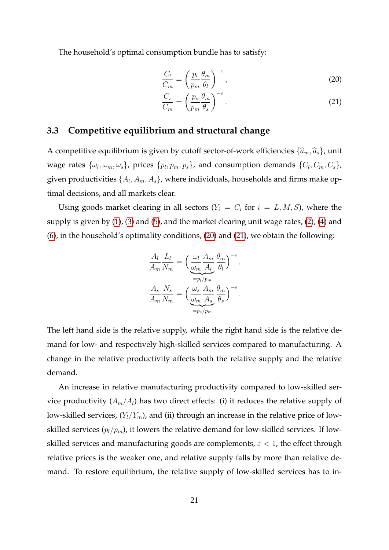The household's optimal consumption bundle has to satisfy:

$$
\frac{C_l}{C_m} = \left(\frac{p_l}{p_m} \frac{\theta_m}{\theta_l}\right)^{-\varepsilon},\tag{20}
$$

$$
\frac{C_s}{C_m} = \left(\frac{p_s}{p_m} \frac{\theta_m}{\theta_s}\right)^{-\varepsilon}.
$$
\n(21)

## **3.3 Competitive equilibrium and structural change**

A competitive equilibrium is given by cutoff sector-of-work efficiencies  $\{\widehat{a}_m, \widehat{a}_s\}$ , unit wage rates  $\{\omega_l, \omega_m, \omega_s\}$ , prices  $\{p_l, p_m, p_s\}$ , and consumption demands  $\{C_l, C_m, C_s\}$ , given productivities  $\{A_l, A_m, A_s\}$ , where individuals, households and firms make optimal decisions, and all markets clear.

Using goods market clearing in all sectors ( $Y_i = C_i$  for  $i = L, M, S$ ), where the supply is given by (1), (3) and (5), and the market clearing unit wage rates, (2), (4) and (6), in the household's optimality conditions, (20) and (21), we obtain the following:

$$
\frac{A_l}{A_m} \frac{L_l}{N_m} = \left(\underbrace{\frac{\omega_l}{\omega_m} \frac{A_m}{A_l} \frac{\theta_m}{\theta_l}}_{=p_l/p_m}\right)^{-\varepsilon},
$$
\n
$$
\frac{A_s}{A_m} \frac{N_s}{N_m} = \left(\frac{\omega_s}{\frac{\omega_m}{A_s} \frac{A_m}{A_s} \frac{\theta_m}{\theta_s}}\right)^{-\varepsilon}.
$$

The left hand side is the relative supply, while the right hand side is the relative demand for low- and respectively high-skilled services compared to manufacturing. A change in the relative productivity affects both the relative supply and the relative demand.

An increase in relative manufacturing productivity compared to low-skilled service productivity  $(A_m/A_l)$  has two direct effects: (i) it reduces the relative supply of low-skilled services,  $(Y_l/Y_m)$ , and (ii) through an increase in the relative price of lowskilled services  $(p_l/p_m)$ , it lowers the relative demand for low-skilled services. If lowskilled services and manufacturing goods are complements,  $\varepsilon$  < 1, the effect through relative prices is the weaker one, and relative supply falls by more than relative demand. To restore equilibrium, the relative supply of low-skilled services has to in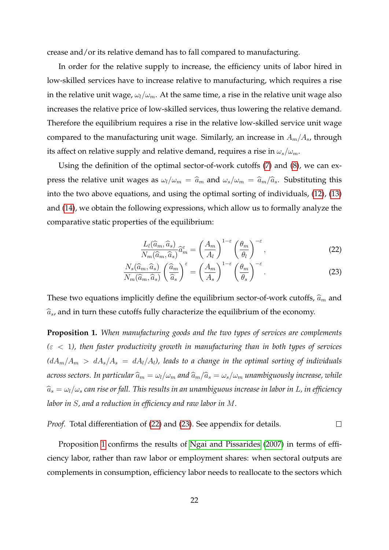crease and/or its relative demand has to fall compared to manufacturing.

In order for the relative supply to increase, the efficiency units of labor hired in low-skilled services have to increase relative to manufacturing, which requires a rise in the relative unit wage,  $\omega_l/\omega_m$ . At the same time, a rise in the relative unit wage also increases the relative price of low-skilled services, thus lowering the relative demand. Therefore the equilibrium requires a rise in the relative low-skilled service unit wage compared to the manufacturing unit wage. Similarly, an increase in  $A_m/A_s$ , through its affect on relative supply and relative demand, requires a rise in  $\omega_s/\omega_m$ .

Using the definition of the optimal sector-of-work cutoffs (7) and (8), we can express the relative unit wages as  $\omega_l/\omega_m = \hat{a}_m$  and  $\omega_s/\omega_m = \hat{a}_m/\hat{a}_s$ . Substituting this into the two above equations, and using the optimal sorting of individuals, (12), (13) and (14), we obtain the following expressions, which allow us to formally analyze the comparative static properties of the equilibrium:

$$
\frac{L_l(\widehat{a}_m, \widehat{a}_s)}{N_m(\widehat{a}_m, \widehat{a}_s)} \widehat{a}_m^{\varepsilon} = \left(\frac{A_m}{A_l}\right)^{1-\varepsilon} \left(\frac{\theta_m}{\theta_l}\right)^{-\varepsilon},\tag{22}
$$

$$
\frac{N_s(\widehat{a}_m, \widehat{a}_s)}{N_m(\widehat{a}_m, \widehat{a}_s)} \left(\frac{\widehat{a}_m}{\widehat{a}_s}\right)^\varepsilon = \left(\frac{A_m}{A_s}\right)^{1-\varepsilon} \left(\frac{\theta_m}{\theta_s}\right)^{-\varepsilon}.\tag{23}
$$

These two equations implicitly define the equilibrium sector-of-work cutoffs,  $\hat{a}_m$  and  $\hat{a}_s$ , and in turn these cutoffs fully characterize the equilibrium of the economy.

**Proposition 1.** *When manufacturing goods and the two types of services are complements (*ε < 1*), then faster productivity growth in manufacturing than in both types of services*  $(dA_m/A_m > dA_s/A_s = dA_l/A_l)$ , leads to a change in the optimal sorting of individuals *across sectors. In particular*  $\hat{a}_m = \omega_l/\omega_m$  *and*  $\hat{a}_m/\hat{a}_s = \omega_s/\omega_m$  *unambiguously increase, while*  $\widehat{a}_s = \omega_l/\omega_s$  *can rise or fall. This results in an unambiguous increase in labor in L, in efficiency labor in* S*, and a reduction in efficiency and raw labor in* M*.*

*Proof.* Total differentiation of (22) and (23). See appendix for details. 
$$
\Box
$$

Proposition 1 confirms the results of Ngai and Pissarides (2007) in terms of efficiency labor, rather than raw labor or employment shares: when sectoral outputs are complements in consumption, efficiency labor needs to reallocate to the sectors which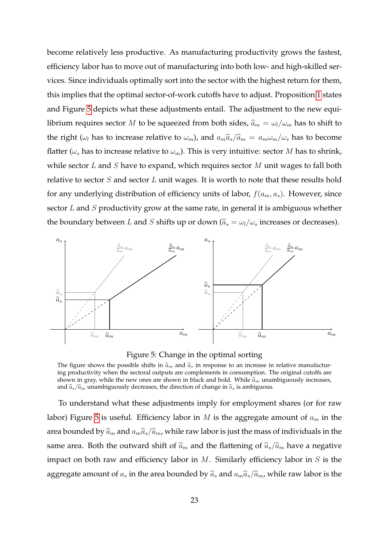become relatively less productive. As manufacturing productivity grows the fastest, efficiency labor has to move out of manufacturing into both low- and high-skilled services. Since individuals optimally sort into the sector with the highest return for them, this implies that the optimal sector-of-work cutoffs have to adjust. Proposition 1 states and Figure 5 depicts what these adjustments entail. The adjustment to the new equilibrium requires sector M to be squeezed from both sides,  $\hat{a}_m = \omega_l/\omega_m$  has to shift to the right ( $\omega_l$  has to increase relative to  $\omega_m$ ), and  $a_m\hat{a}_s/\hat{a}_m = a_m\omega_m/\omega_s$  has to become flatter ( $\omega_s$  has to increase relative to  $\omega_m$ ). This is very intuitive: sector M has to shrink, while sector  $L$  and  $S$  have to expand, which requires sector  $M$  unit wages to fall both relative to sector  $S$  and sector  $L$  unit wages. It is worth to note that these results hold for any underlying distribution of efficiency units of labor,  $f(a_m, a_s)$ . However, since sector  $L$  and  $S$  productivity grow at the same rate, in general it is ambiguous whether the boundary between L and S shifts up or down ( $\widehat{a}_s = \omega_l/\omega_s$  increases or decreases).



Figure 5: Change in the optimal sorting

The figure shows the possible shifts in  $\hat{a}_m$  and  $\hat{a}_s$  in response to an increase in relative manufacturing productivity when the sectoral outputs are complements in consumption. The original cutoffs are shown in gray, while the new ones are shown in black and bold. While  $\hat{a}_m$  unambiguously increases, and  $\hat{a}_s/\hat{a}_m$  unambiguously decreases, the direction of change in  $\hat{a}_s$  is ambiguous.

To understand what these adjustments imply for employment shares (or for raw labor) Figure 5 is useful. Efficiency labor in  $M$  is the aggregate amount of  $a_m$  in the area bounded by  $\hat{a}_m$  and  $a_m\hat{a}_s/\hat{a}_m$ , while raw labor is just the mass of individuals in the same area. Both the outward shift of  $\hat{a}_m$  and the flattening of  $\hat{a}_s/\hat{a}_m$  have a negative impact on both raw and efficiency labor in  $M$ . Similarly efficiency labor in  $S$  is the aggregate amount of  $a_s$  in the area bounded by  $\widehat{a}_s$  and  $a_m\widehat{a}_s/\widehat{a}_m$ , while raw labor is the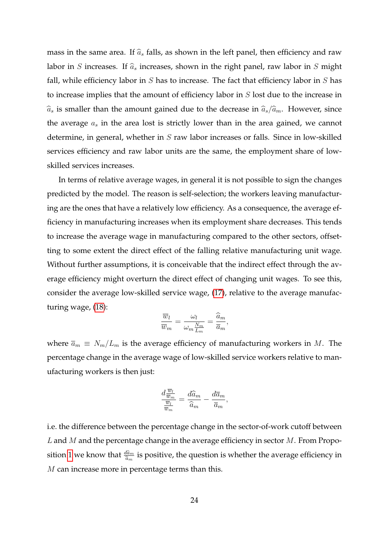mass in the same area. If  $\hat{a}_s$  falls, as shown in the left panel, then efficiency and raw labor in S increases. If  $\hat{a}_s$  increases, shown in the right panel, raw labor in S might fall, while efficiency labor in  $S$  has to increase. The fact that efficiency labor in  $S$  has to increase implies that the amount of efficiency labor in S lost due to the increase in  $\widehat{a}_s$  is smaller than the amount gained due to the decrease in  $\widehat{a}_s/\widehat{a}_m$ . However, since the average  $a_s$  in the area lost is strictly lower than in the area gained, we cannot determine, in general, whether in  $S$  raw labor increases or falls. Since in low-skilled services efficiency and raw labor units are the same, the employment share of lowskilled services increases.

In terms of relative average wages, in general it is not possible to sign the changes predicted by the model. The reason is self-selection; the workers leaving manufacturing are the ones that have a relatively low efficiency. As a consequence, the average efficiency in manufacturing increases when its employment share decreases. This tends to increase the average wage in manufacturing compared to the other sectors, offsetting to some extent the direct effect of the falling relative manufacturing unit wage. Without further assumptions, it is conceivable that the indirect effect through the average efficiency might overturn the direct effect of changing unit wages. To see this, consider the average low-skilled service wage, (17), relative to the average manufacturing wage, (18):

$$
\frac{\overline{w}_l}{\overline{w}_m} = \frac{\omega_l}{\omega_m \frac{N_m}{L_m}} = \frac{\widehat{a}_m}{\overline{a}_m},
$$

where  $\overline{a}_m \equiv N_m/L_m$  is the average efficiency of manufacturing workers in M. The percentage change in the average wage of low-skilled service workers relative to manufacturing workers is then just:

$$
\frac{d\frac{\overline{w}_l}{\overline{w}_m}}{\frac{\overline{w}_l}{\overline{w}_m}} = \frac{d\widehat{a}_m}{\widehat{a}_m} - \frac{d\overline{a}_m}{\overline{a}_m},
$$

i.e. the difference between the percentage change in the sector-of-work cutoff between  $L$  and  $M$  and the percentage change in the average efficiency in sector  $M$ . From Proposition 1 we know that  $\frac{d\hat{a}_m}{\hat{a}_m}$  $\frac{da_m}{\widehat{a}_m}$  is positive, the question is whether the average efficiency in M can increase more in percentage terms than this.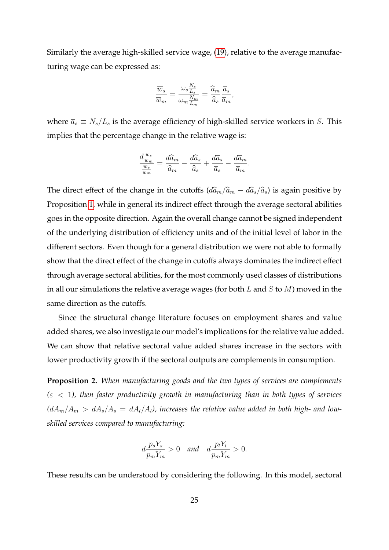Similarly the average high-skilled service wage, (19), relative to the average manufacturing wage can be expressed as:

$$
\frac{\overline{w}_s}{\overline{w}_m} = \frac{\omega_s \frac{N_s}{L_s}}{\omega_m \frac{N_m}{L_m}} = \frac{\widehat{a}_m}{\widehat{a}_s} \frac{\overline{a}_s}{\overline{a}_m},
$$

where  $\overline{a}_s \equiv N_s/L_s$  is the average efficiency of high-skilled service workers in S. This implies that the percentage change in the relative wage is:

$$
\frac{d\frac{\overline{w}_s}{\overline{w}_m}}{\frac{\overline{w}_s}{\overline{w}_m}} = \frac{d\widehat{a}_m}{\widehat{a}_m} - \frac{d\widehat{a}_s}{\widehat{a}_s} + \frac{d\overline{a}_s}{\overline{a}_s} - \frac{d\overline{a}_m}{\overline{a}_m}.
$$

The direct effect of the change in the cutoffs  $(d\hat{a}_m/\hat{a}_m - d\hat{a}_s/\hat{a}_s)$  is again positive by Proposition 1, while in general its indirect effect through the average sectoral abilities goes in the opposite direction. Again the overall change cannot be signed independent of the underlying distribution of efficiency units and of the initial level of labor in the different sectors. Even though for a general distribution we were not able to formally show that the direct effect of the change in cutoffs always dominates the indirect effect through average sectoral abilities, for the most commonly used classes of distributions in all our simulations the relative average wages (for both  $L$  and  $S$  to  $M$ ) moved in the same direction as the cutoffs.

Since the structural change literature focuses on employment shares and value added shares, we also investigate our model's implications for the relative value added. We can show that relative sectoral value added shares increase in the sectors with lower productivity growth if the sectoral outputs are complements in consumption.

**Proposition 2.** *When manufacturing goods and the two types of services are complements (*ε < 1*), then faster productivity growth in manufacturing than in both types of services*  $(dA_m/A_m > dA_s/A_s = dA_l/A_l)$ , increases the relative value added in both high- and low*skilled services compared to manufacturing:*

$$
d\frac{p_s Y_s}{p_m Y_m} > 0 \quad \text{and} \quad d\frac{p_l Y_l}{p_m Y_m} > 0.
$$

These results can be understood by considering the following. In this model, sectoral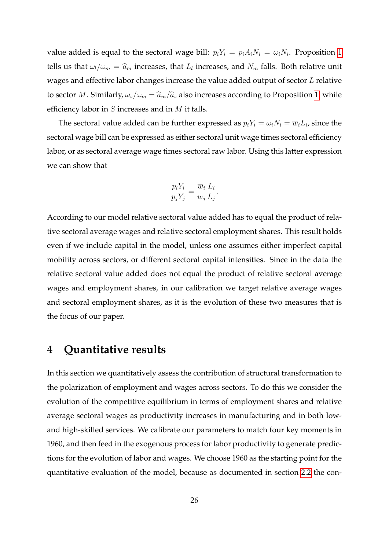value added is equal to the sectoral wage bill:  $p_i Y_i = p_i A_i N_i = \omega_i N_i$ . Proposition 1 tells us that  $\omega_l/\omega_m = \widehat{a}_m$  increases, that  $L_l$  increases, and  $N_m$  falls. Both relative unit wages and effective labor changes increase the value added output of sector L relative to sector M. Similarly,  $\omega_s/\omega_m = \hat{a}_m/\hat{a}_s$  also increases according to Proposition 1, while efficiency labor in  $S$  increases and in  $M$  it falls.

The sectoral value added can be further expressed as  $p_iY_i=\omega_iN_i=\overline{w}_iL_i$ , since the sectoral wage bill can be expressed as either sectoral unit wage times sectoral efficiency labor, or as sectoral average wage times sectoral raw labor. Using this latter expression we can show that

$$
\frac{p_i Y_i}{p_j Y_j} = \frac{\overline{w}_i}{\overline{w}_j} \frac{L_i}{L_j}.
$$

According to our model relative sectoral value added has to equal the product of relative sectoral average wages and relative sectoral employment shares. This result holds even if we include capital in the model, unless one assumes either imperfect capital mobility across sectors, or different sectoral capital intensities. Since in the data the relative sectoral value added does not equal the product of relative sectoral average wages and employment shares, in our calibration we target relative average wages and sectoral employment shares, as it is the evolution of these two measures that is the focus of our paper.

# **4 Quantitative results**

In this section we quantitatively assess the contribution of structural transformation to the polarization of employment and wages across sectors. To do this we consider the evolution of the competitive equilibrium in terms of employment shares and relative average sectoral wages as productivity increases in manufacturing and in both lowand high-skilled services. We calibrate our parameters to match four key moments in 1960, and then feed in the exogenous process for labor productivity to generate predictions for the evolution of labor and wages. We choose 1960 as the starting point for the quantitative evaluation of the model, because as documented in section 2.2 the con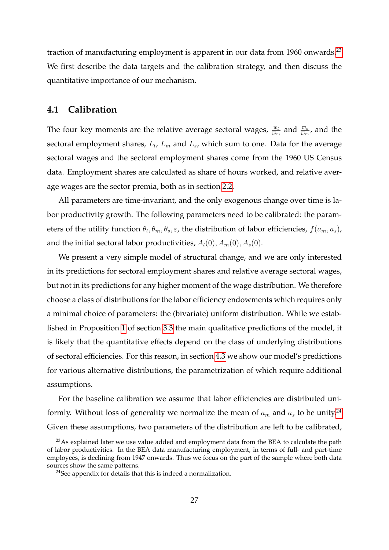traction of manufacturing employment is apparent in our data from 1960 onwards.<sup>23</sup> We first describe the data targets and the calibration strategy, and then discuss the quantitative importance of our mechanism.

### **4.1 Calibration**

The four key moments are the relative average sectoral wages,  $\frac{\overline{w}_l}{\overline{w}_m}$  and  $\frac{\overline{w}_s}{\overline{w}_m}$ , and the sectoral employment shares,  $L_l$ ,  $L_m$  and  $L_s$ , which sum to one. Data for the average sectoral wages and the sectoral employment shares come from the 1960 US Census data. Employment shares are calculated as share of hours worked, and relative average wages are the sector premia, both as in section 2.2.

All parameters are time-invariant, and the only exogenous change over time is labor productivity growth. The following parameters need to be calibrated: the parameters of the utility function  $\theta_l, \theta_m, \theta_s, \varepsilon$ , the distribution of labor efficiencies,  $f(a_m, a_s)$ , and the initial sectoral labor productivities,  $A_l(0), A_m(0), A_s(0)$ .

We present a very simple model of structural change, and we are only interested in its predictions for sectoral employment shares and relative average sectoral wages, but not in its predictions for any higher moment of the wage distribution. We therefore choose a class of distributions for the labor efficiency endowments which requires only a minimal choice of parameters: the (bivariate) uniform distribution. While we established in Proposition 1 of section 3.3 the main qualitative predictions of the model, it is likely that the quantitative effects depend on the class of underlying distributions of sectoral efficiencies. For this reason, in section 4.3 we show our model's predictions for various alternative distributions, the parametrization of which require additional assumptions.

For the baseline calibration we assume that labor efficiencies are distributed uniformly. Without loss of generality we normalize the mean of  $a_m$  and  $a_s$  to be unity.<sup>24</sup> Given these assumptions, two parameters of the distribution are left to be calibrated,

<sup>&</sup>lt;sup>23</sup>As explained later we use value added and employment data from the BEA to calculate the path of labor productivities. In the BEA data manufacturing employment, in terms of full- and part-time employees, is declining from 1947 onwards. Thus we focus on the part of the sample where both data sources show the same patterns.

<sup>&</sup>lt;sup>24</sup>See appendix for details that this is indeed a normalization.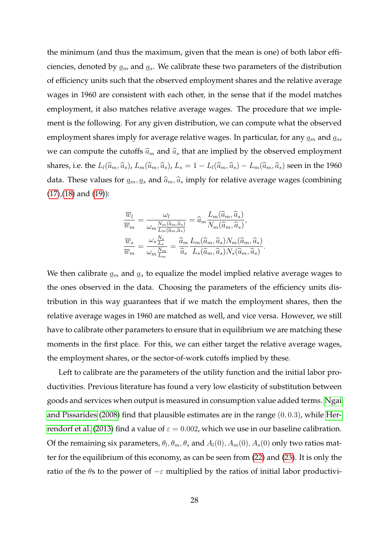the minimum (and thus the maximum, given that the mean is one) of both labor efficiencies, denoted by  $q_m$  and  $q_s$ . We calibrate these two parameters of the distribution e e of efficiency units such that the observed employment shares and the relative average wages in 1960 are consistent with each other, in the sense that if the model matches employment, it also matches relative average wages. The procedure that we implement is the following. For any given distribution, we can compute what the observed employment shares imply for average relative wages. In particular, for any  $\varrho_m$  and  $\varrho_s$ , we can compute the cutoffs  $\widehat{a}_m$  and  $\widehat{a}_s$  that are implied by the observed employment shares, i.e. the  $L_l(\widehat{a}_m, \widehat{a}_s)$ ,  $L_m(\widehat{a}_m, \widehat{a}_s)$ ,  $L_s = 1 - L_l(\widehat{a}_m, \widehat{a}_s) - L_m(\widehat{a}_m, \widehat{a}_s)$  seen in the 1960 data. These values for  $g_m, g_s$  and  $\widehat{a}_m, \widehat{a}_s$  imply for relative average wages (combining  $(17)$ , $(18)$  and  $(19)$ :

$$
\frac{\overline{w}_l}{\overline{w}_m} = \frac{\omega_l}{\omega_m \frac{N_m(\widehat{a}_m, \widehat{a}_s)}{L_m(\widehat{a}_m, \widehat{a}_s)}} = \widehat{a}_m \frac{L_m(\widehat{a}_m, \widehat{a}_s)}{N_m(\widehat{a}_m, \widehat{a}_s)},
$$

$$
\frac{\overline{w}_s}{\overline{w}_m} = \frac{\omega_s \frac{N_s}{L_s}}{\omega_m \frac{N_m}{L_m}} = \frac{\widehat{a}_m}{\widehat{a}_s} \frac{L_m(\widehat{a}_m, \widehat{a}_s) N_m(\widehat{a}_m, \widehat{a}_s)}{L_s(\widehat{a}_m, \widehat{a}_s) N_s(\widehat{a}_m, \widehat{a}_s)}
$$

.

We then calibrate  $\varrho_m$  and  $\varrho_s$  to equalize the model implied relative average wages to the ones observed in the data. Choosing the parameters of the efficiency units distribution in this way guarantees that if we match the employment shares, then the relative average wages in 1960 are matched as well, and vice versa. However, we still have to calibrate other parameters to ensure that in equilibrium we are matching these moments in the first place. For this, we can either target the relative average wages, the employment shares, or the sector-of-work cutoffs implied by these.

Left to calibrate are the parameters of the utility function and the initial labor productivities. Previous literature has found a very low elasticity of substitution between goods and services when output is measured in consumption value added terms. Ngai and Pissarides (2008) find that plausible estimates are in the range (0, 0.3), while Herrendorf et al. (2013) find a value of  $\varepsilon = 0.002$ , which we use in our baseline calibration. Of the remaining six parameters,  $\theta_l, \theta_m, \theta_s$  and  $A_l(0), A_m(0), A_s(0)$  only two ratios matter for the equilibrium of this economy, as can be seen from (22) and (23). It is only the ratio of the  $\theta$ s to the power of  $-\varepsilon$  multiplied by the ratios of initial labor productivi-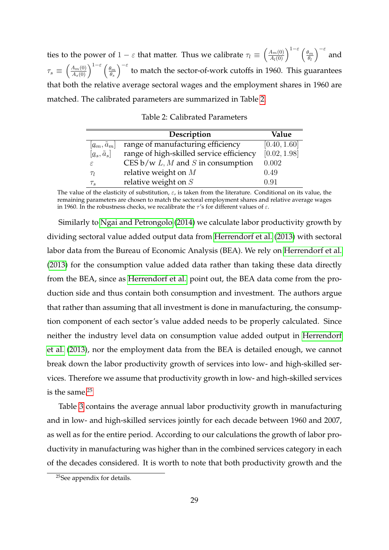ties to the power of  $1 - \varepsilon$  that matter. Thus we calibrate  $\tau_l \equiv \left(\frac{A_m(0)}{A_l(0)}\right)^{1-\varepsilon} \left(\frac{\theta_m}{\theta_l}\right)$  $\theta_l$  $\int_{-\varepsilon}^{\varepsilon}$  and  $\tau_s \, \equiv \, \left(\frac{A_m(0)}{A_s(0)}\right)^{1-\varepsilon} \left(\frac{\theta_m}{\theta_s}\right)$  $\theta_s$  $\int_{0}^{2\pi}$  to match the sector-of-work cutoffs in 1960. This guarantees that both the relative average sectoral wages and the employment shares in 1960 are matched. The calibrated parameters are summarized in Table 2.

|                      | Description                                        | Value        |
|----------------------|----------------------------------------------------|--------------|
| $ a_m, \tilde{a}_m $ | range of manufacturing efficiency                  | [0.40, 1.60] |
| $[a_s, \tilde{a}_s]$ | range of high-skilled service efficiency           | [0.02, 1.98] |
| $\varepsilon$        | CES $b/w L$ , <i>M</i> and <i>S</i> in consumption | 0.002        |
| $\tau_l$             | relative weight on $M$                             | 0.49         |
| $\tau_s$             | relative weight on $S$                             | 0.91         |

The value of the elasticity of substitution,  $\varepsilon$ , is taken from the literature. Conditional on its value, the remaining parameters are chosen to match the sectoral employment shares and relative average wages in 1960. In the robustness checks, we recalibrate the  $\tau$ 's for different values of  $\varepsilon$ .

Similarly to Ngai and Petrongolo (2014) we calculate labor productivity growth by dividing sectoral value added output data from Herrendorf et al. (2013) with sectoral labor data from the Bureau of Economic Analysis (BEA). We rely on Herrendorf et al. (2013) for the consumption value added data rather than taking these data directly from the BEA, since as Herrendorf et al. point out, the BEA data come from the production side and thus contain both consumption and investment. The authors argue that rather than assuming that all investment is done in manufacturing, the consumption component of each sector's value added needs to be properly calculated. Since neither the industry level data on consumption value added output in Herrendorf et al. (2013), nor the employment data from the BEA is detailed enough, we cannot break down the labor productivity growth of services into low- and high-skilled services. Therefore we assume that productivity growth in low- and high-skilled services is the same.25

Table 3 contains the average annual labor productivity growth in manufacturing and in low- and high-skilled services jointly for each decade between 1960 and 2007, as well as for the entire period. According to our calculations the growth of labor productivity in manufacturing was higher than in the combined services category in each of the decades considered. It is worth to note that both productivity growth and the

<sup>25</sup>See appendix for details.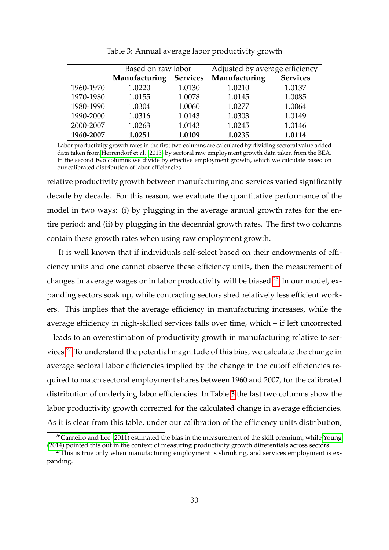|           | Based on raw labor               |        | Adjusted by average efficiency |                 |  |  |
|-----------|----------------------------------|--------|--------------------------------|-----------------|--|--|
|           | Manufacturing<br><b>Services</b> |        | Manufacturing                  | <b>Services</b> |  |  |
| 1960-1970 | 1.0220                           | 1.0130 | 1.0210                         | 1.0137          |  |  |
| 1970-1980 | 1.0155                           | 1.0078 | 1.0145                         | 1.0085          |  |  |
| 1980-1990 | 1.0304                           | 1.0060 | 1.0277                         | 1.0064          |  |  |
| 1990-2000 | 1.0316                           | 1.0143 | 1.0303                         | 1.0149          |  |  |
| 2000-2007 | 1.0263                           | 1.0143 | 1.0245                         | 1.0146          |  |  |
| 1960-2007 | 1.0251                           | 1.0109 | 1.0235                         | 1.0114          |  |  |

Table 3: Annual average labor productivity growth

Labor productivity growth rates in the first two columns are calculated by dividing sectoral value added data taken from Herrendorf et al. (2013) by sectoral raw employment growth data taken from the BEA. In the second two columns we divide by effective employment growth, which we calculate based on our calibrated distribution of labor efficiencies.

relative productivity growth between manufacturing and services varied significantly decade by decade. For this reason, we evaluate the quantitative performance of the model in two ways: (i) by plugging in the average annual growth rates for the entire period; and (ii) by plugging in the decennial growth rates. The first two columns contain these growth rates when using raw employment growth.

It is well known that if individuals self-select based on their endowments of efficiency units and one cannot observe these efficiency units, then the measurement of changes in average wages or in labor productivity will be biased.<sup>26</sup> In our model, expanding sectors soak up, while contracting sectors shed relatively less efficient workers. This implies that the average efficiency in manufacturing increases, while the average efficiency in high-skilled services falls over time, which – if left uncorrected – leads to an overestimation of productivity growth in manufacturing relative to services.27 To understand the potential magnitude of this bias, we calculate the change in average sectoral labor efficiencies implied by the change in the cutoff efficiencies required to match sectoral employment shares between 1960 and 2007, for the calibrated distribution of underlying labor efficiencies. In Table 3 the last two columns show the labor productivity growth corrected for the calculated change in average efficiencies. As it is clear from this table, under our calibration of the efficiency units distribution,

 $^{26}$ Carneiro and Lee (2011) estimated the bias in the measurement of the skill premium, while Young (2014) pointed this out in the context of measuring productivity growth differentials across sectors.

 $27$ This is true only when manufacturing employment is shrinking, and services employment is expanding.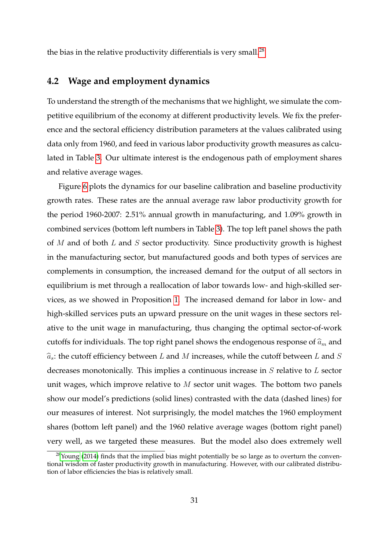the bias in the relative productivity differentials is very small. $^{28}$ 

### **4.2 Wage and employment dynamics**

To understand the strength of the mechanisms that we highlight, we simulate the competitive equilibrium of the economy at different productivity levels. We fix the preference and the sectoral efficiency distribution parameters at the values calibrated using data only from 1960, and feed in various labor productivity growth measures as calculated in Table 3. Our ultimate interest is the endogenous path of employment shares and relative average wages.

Figure 6 plots the dynamics for our baseline calibration and baseline productivity growth rates. These rates are the annual average raw labor productivity growth for the period 1960-2007: 2.51% annual growth in manufacturing, and 1.09% growth in combined services (bottom left numbers in Table 3). The top left panel shows the path of  $M$  and of both  $L$  and  $S$  sector productivity. Since productivity growth is highest in the manufacturing sector, but manufactured goods and both types of services are complements in consumption, the increased demand for the output of all sectors in equilibrium is met through a reallocation of labor towards low- and high-skilled services, as we showed in Proposition 1. The increased demand for labor in low- and high-skilled services puts an upward pressure on the unit wages in these sectors relative to the unit wage in manufacturing, thus changing the optimal sector-of-work cutoffs for individuals. The top right panel shows the endogenous response of  $\hat{a}_m$  and  $\hat{a}_s$ : the cutoff efficiency between L and M increases, while the cutoff between L and S decreases monotonically. This implies a continuous increase in S relative to L sector unit wages, which improve relative to M sector unit wages. The bottom two panels show our model's predictions (solid lines) contrasted with the data (dashed lines) for our measures of interest. Not surprisingly, the model matches the 1960 employment shares (bottom left panel) and the 1960 relative average wages (bottom right panel) very well, as we targeted these measures. But the model also does extremely well

 $28$ Young (2014) finds that the implied bias might potentially be so large as to overturn the conventional wisdom of faster productivity growth in manufacturing. However, with our calibrated distribution of labor efficiencies the bias is relatively small.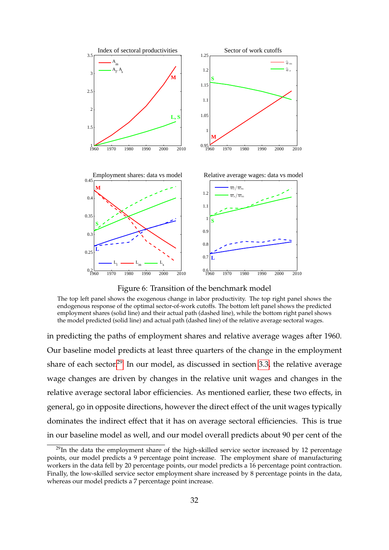

Figure 6: Transition of the benchmark model

The top left panel shows the exogenous change in labor productivity. The top right panel shows the endogenous response of the optimal sector-of-work cutoffs. The bottom left panel shows the predicted employment shares (solid line) and their actual path (dashed line), while the bottom right panel shows the model predicted (solid line) and actual path (dashed line) of the relative average sectoral wages.

in predicting the paths of employment shares and relative average wages after 1960. Our baseline model predicts at least three quarters of the change in the employment share of each sector.<sup>29</sup> In our model, as discussed in section 3.3, the relative average wage changes are driven by changes in the relative unit wages and changes in the relative average sectoral labor efficiencies. As mentioned earlier, these two effects, in general, go in opposite directions, however the direct effect of the unit wages typically dominates the indirect effect that it has on average sectoral efficiencies. This is true in our baseline model as well, and our model overall predicts about 90 per cent of the

 $^{29}$ In the data the employment share of the high-skilled service sector increased by 12 percentage points, our model predicts a 9 percentage point increase. The employment share of manufacturing workers in the data fell by 20 percentage points, our model predicts a 16 percentage point contraction. Finally, the low-skilled service sector employment share increased by 8 percentage points in the data, whereas our model predicts a 7 percentage point increase.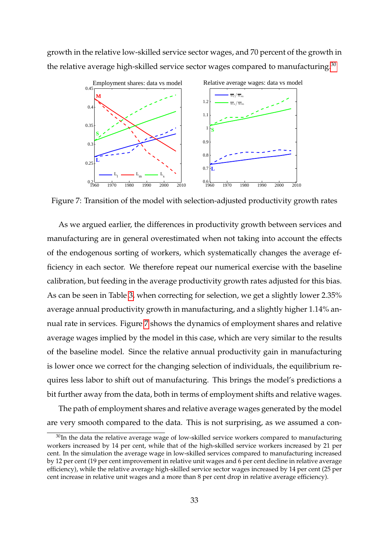growth in the relative low-skilled service sector wages, and 70 percent of the growth in the relative average high-skilled service sector wages compared to manufacturing. $30$ 



Figure 7: Transition of the model with selection-adjusted productivity growth rates

As we argued earlier, the differences in productivity growth between services and manufacturing are in general overestimated when not taking into account the effects of the endogenous sorting of workers, which systematically changes the average efficiency in each sector. We therefore repeat our numerical exercise with the baseline calibration, but feeding in the average productivity growth rates adjusted for this bias. As can be seen in Table 3, when correcting for selection, we get a slightly lower 2.35% average annual productivity growth in manufacturing, and a slightly higher 1.14% annual rate in services. Figure 7 shows the dynamics of employment shares and relative average wages implied by the model in this case, which are very similar to the results of the baseline model. Since the relative annual productivity gain in manufacturing is lower once we correct for the changing selection of individuals, the equilibrium requires less labor to shift out of manufacturing. This brings the model's predictions a bit further away from the data, both in terms of employment shifts and relative wages.

The path of employment shares and relative average wages generated by the model are very smooth compared to the data. This is not surprising, as we assumed a con-

 $30$ In the data the relative average wage of low-skilled service workers compared to manufacturing workers increased by 14 per cent, while that of the high-skilled service workers increased by 21 per cent. In the simulation the average wage in low-skilled services compared to manufacturing increased by 12 per cent (19 per cent improvement in relative unit wages and 6 per cent decline in relative average efficiency), while the relative average high-skilled service sector wages increased by 14 per cent (25 per cent increase in relative unit wages and a more than 8 per cent drop in relative average efficiency).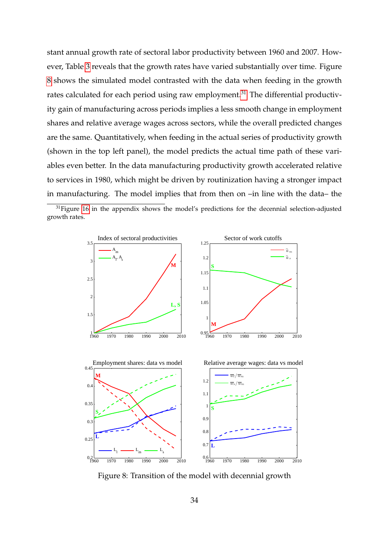stant annual growth rate of sectoral labor productivity between 1960 and 2007. However, Table 3 reveals that the growth rates have varied substantially over time. Figure 8 shows the simulated model contrasted with the data when feeding in the growth rates calculated for each period using raw employment.<sup>31</sup> The differential productivity gain of manufacturing across periods implies a less smooth change in employment shares and relative average wages across sectors, while the overall predicted changes are the same. Quantitatively, when feeding in the actual series of productivity growth (shown in the top left panel), the model predicts the actual time path of these variables even better. In the data manufacturing productivity growth accelerated relative to services in 1980, which might be driven by routinization having a stronger impact in manufacturing. The model implies that from then on –in line with the data– the

 $31$  Figure 16 in the appendix shows the model's predictions for the decennial selection-adjusted growth rates.



Figure 8: Transition of the model with decennial growth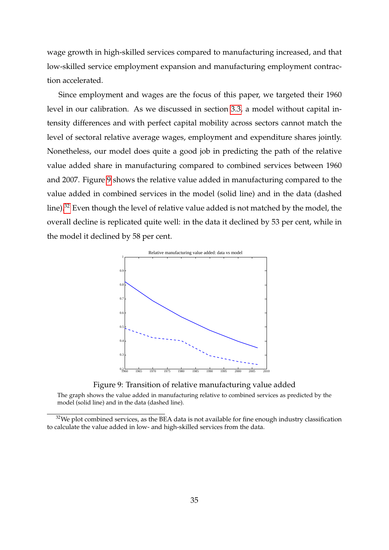wage growth in high-skilled services compared to manufacturing increased, and that low-skilled service employment expansion and manufacturing employment contraction accelerated.

Since employment and wages are the focus of this paper, we targeted their 1960 level in our calibration. As we discussed in section 3.3, a model without capital intensity differences and with perfect capital mobility across sectors cannot match the level of sectoral relative average wages, employment and expenditure shares jointly. Nonetheless, our model does quite a good job in predicting the path of the relative value added share in manufacturing compared to combined services between 1960 and 2007. Figure 9 shows the relative value added in manufacturing compared to the value added in combined services in the model (solid line) and in the data (dashed line).<sup>32</sup> Even though the level of relative value added is not matched by the model, the overall decline is replicated quite well: in the data it declined by 53 per cent, while in the model it declined by 58 per cent.





The graph shows the value added in manufacturing relative to combined services as predicted by the model (solid line) and in the data (dashed line).

 $32$ We plot combined services, as the BEA data is not available for fine enough industry classification to calculate the value added in low- and high-skilled services from the data.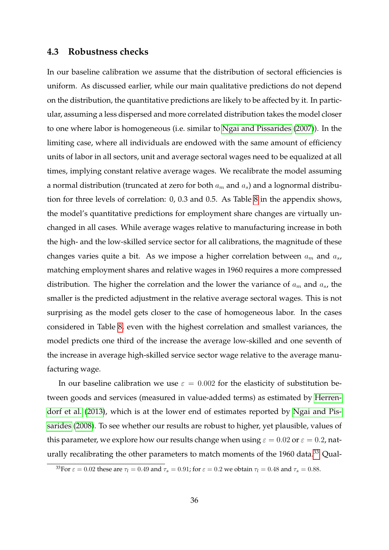### **4.3 Robustness checks**

In our baseline calibration we assume that the distribution of sectoral efficiencies is uniform. As discussed earlier, while our main qualitative predictions do not depend on the distribution, the quantitative predictions are likely to be affected by it. In particular, assuming a less dispersed and more correlated distribution takes the model closer to one where labor is homogeneous (i.e. similar to Ngai and Pissarides (2007)). In the limiting case, where all individuals are endowed with the same amount of efficiency units of labor in all sectors, unit and average sectoral wages need to be equalized at all times, implying constant relative average wages. We recalibrate the model assuming a normal distribution (truncated at zero for both  $a_m$  and  $a_s$ ) and a lognormal distribution for three levels of correlation: 0, 0.3 and 0.5. As Table 8 in the appendix shows, the model's quantitative predictions for employment share changes are virtually unchanged in all cases. While average wages relative to manufacturing increase in both the high- and the low-skilled service sector for all calibrations, the magnitude of these changes varies quite a bit. As we impose a higher correlation between  $a_m$  and  $a_s$ , matching employment shares and relative wages in 1960 requires a more compressed distribution. The higher the correlation and the lower the variance of  $a_m$  and  $a_s$ , the smaller is the predicted adjustment in the relative average sectoral wages. This is not surprising as the model gets closer to the case of homogeneous labor. In the cases considered in Table 8, even with the highest correlation and smallest variances, the model predicts one third of the increase the average low-skilled and one seventh of the increase in average high-skilled service sector wage relative to the average manufacturing wage.

In our baseline calibration we use  $\varepsilon = 0.002$  for the elasticity of substitution between goods and services (measured in value-added terms) as estimated by Herrendorf et al. (2013), which is at the lower end of estimates reported by Ngai and Pissarides (2008). To see whether our results are robust to higher, yet plausible, values of this parameter, we explore how our results change when using  $\varepsilon = 0.02$  or  $\varepsilon = 0.2$ , naturally recalibrating the other parameters to match moments of the 1960 data.<sup>33</sup> Qual-

 $\frac{33}{3}$  For  $\varepsilon = 0.02$  these are  $\tau_l = 0.49$  and  $\tau_s = 0.91$ ; for  $\varepsilon = 0.2$  we obtain  $\tau_l = 0.48$  and  $\tau_s = 0.88$ .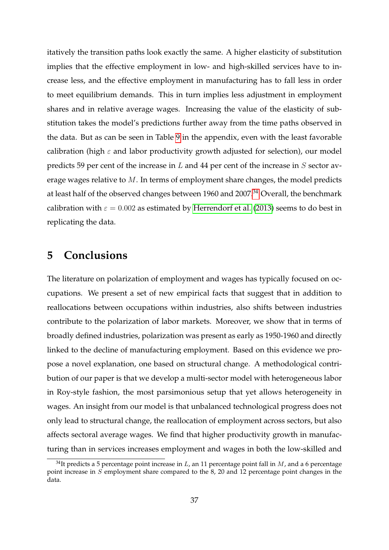itatively the transition paths look exactly the same. A higher elasticity of substitution implies that the effective employment in low- and high-skilled services have to increase less, and the effective employment in manufacturing has to fall less in order to meet equilibrium demands. This in turn implies less adjustment in employment shares and in relative average wages. Increasing the value of the elasticity of substitution takes the model's predictions further away from the time paths observed in the data. But as can be seen in Table 9 in the appendix, even with the least favorable calibration (high  $\varepsilon$  and labor productivity growth adjusted for selection), our model predicts 59 per cent of the increase in  $L$  and 44 per cent of the increase in  $S$  sector average wages relative to M. In terms of employment share changes, the model predicts at least half of the observed changes between 1960 and 2007.<sup>34</sup> Overall, the benchmark calibration with  $\varepsilon = 0.002$  as estimated by Herrendorf et al. (2013) seems to do best in replicating the data.

# **5 Conclusions**

The literature on polarization of employment and wages has typically focused on occupations. We present a set of new empirical facts that suggest that in addition to reallocations between occupations within industries, also shifts between industries contribute to the polarization of labor markets. Moreover, we show that in terms of broadly defined industries, polarization was present as early as 1950-1960 and directly linked to the decline of manufacturing employment. Based on this evidence we propose a novel explanation, one based on structural change. A methodological contribution of our paper is that we develop a multi-sector model with heterogeneous labor in Roy-style fashion, the most parsimonious setup that yet allows heterogeneity in wages. An insight from our model is that unbalanced technological progress does not only lead to structural change, the reallocation of employment across sectors, but also affects sectoral average wages. We find that higher productivity growth in manufacturing than in services increases employment and wages in both the low-skilled and

 $34$ It predicts a 5 percentage point increase in L, an 11 percentage point fall in M, and a 6 percentage point increase in  $S$  employment share compared to the  $8$ , 20 and 12 percentage point changes in the data.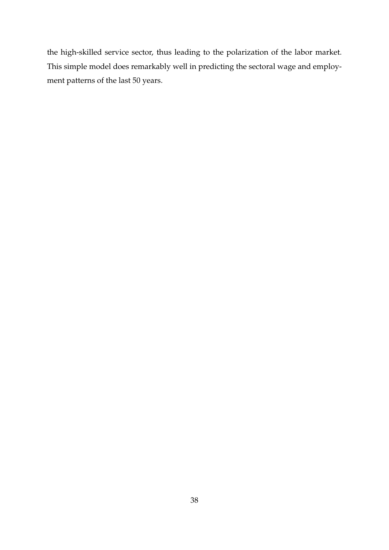the high-skilled service sector, thus leading to the polarization of the labor market. This simple model does remarkably well in predicting the sectoral wage and employment patterns of the last 50 years.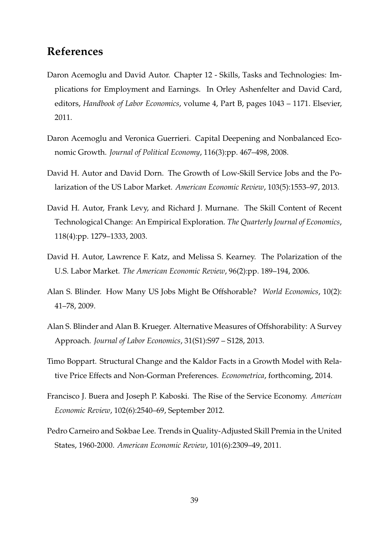# **References**

- Daron Acemoglu and David Autor. Chapter 12 Skills, Tasks and Technologies: Implications for Employment and Earnings. In Orley Ashenfelter and David Card, editors, *Handbook of Labor Economics*, volume 4, Part B, pages 1043 – 1171. Elsevier, 2011.
- Daron Acemoglu and Veronica Guerrieri. Capital Deepening and Nonbalanced Economic Growth. *Journal of Political Economy*, 116(3):pp. 467–498, 2008.
- David H. Autor and David Dorn. The Growth of Low-Skill Service Jobs and the Polarization of the US Labor Market. *American Economic Review*, 103(5):1553–97, 2013.
- David H. Autor, Frank Levy, and Richard J. Murnane. The Skill Content of Recent Technological Change: An Empirical Exploration. *The Quarterly Journal of Economics*, 118(4):pp. 1279–1333, 2003.
- David H. Autor, Lawrence F. Katz, and Melissa S. Kearney. The Polarization of the U.S. Labor Market. *The American Economic Review*, 96(2):pp. 189–194, 2006.
- Alan S. Blinder. How Many US Jobs Might Be Offshorable? *World Economics*, 10(2): 41–78, 2009.
- Alan S. Blinder and Alan B. Krueger. Alternative Measures of Offshorability: A Survey Approach. *Journal of Labor Economics*, 31(S1):S97 – S128, 2013.
- Timo Boppart. Structural Change and the Kaldor Facts in a Growth Model with Relative Price Effects and Non-Gorman Preferences. *Econometrica*, forthcoming, 2014.
- Francisco J. Buera and Joseph P. Kaboski. The Rise of the Service Economy. *American Economic Review*, 102(6):2540–69, September 2012.
- Pedro Carneiro and Sokbae Lee. Trends in Quality-Adjusted Skill Premia in the United States, 1960-2000. *American Economic Review*, 101(6):2309–49, 2011.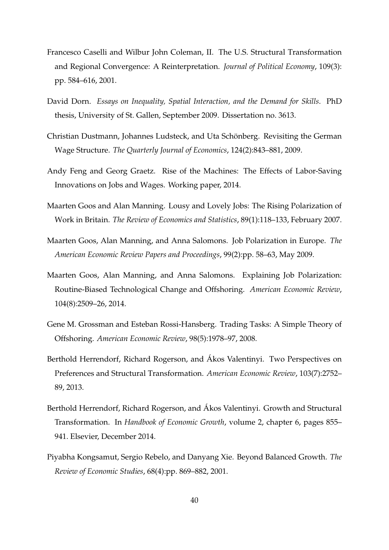- Francesco Caselli and Wilbur John Coleman, II. The U.S. Structural Transformation and Regional Convergence: A Reinterpretation. *Journal of Political Economy*, 109(3): pp. 584–616, 2001.
- David Dorn. *Essays on Inequality, Spatial Interaction, and the Demand for Skills*. PhD thesis, University of St. Gallen, September 2009. Dissertation no. 3613.
- Christian Dustmann, Johannes Ludsteck, and Uta Schönberg. Revisiting the German Wage Structure. *The Quarterly Journal of Economics*, 124(2):843–881, 2009.
- Andy Feng and Georg Graetz. Rise of the Machines: The Effects of Labor-Saving Innovations on Jobs and Wages. Working paper, 2014.
- Maarten Goos and Alan Manning. Lousy and Lovely Jobs: The Rising Polarization of Work in Britain. *The Review of Economics and Statistics*, 89(1):118–133, February 2007.
- Maarten Goos, Alan Manning, and Anna Salomons. Job Polarization in Europe. *The American Economic Review Papers and Proceedings*, 99(2):pp. 58–63, May 2009.
- Maarten Goos, Alan Manning, and Anna Salomons. Explaining Job Polarization: Routine-Biased Technological Change and Offshoring. *American Economic Review*, 104(8):2509–26, 2014.
- Gene M. Grossman and Esteban Rossi-Hansberg. Trading Tasks: A Simple Theory of Offshoring. *American Economic Review*, 98(5):1978–97, 2008.
- Berthold Herrendorf, Richard Rogerson, and Akos Valentinyi. Two Perspectives on ´ Preferences and Structural Transformation. *American Economic Review*, 103(7):2752– 89, 2013.
- Berthold Herrendorf, Richard Rogerson, and Akos Valentinyi. Growth and Structural ´ Transformation. In *Handbook of Economic Growth*, volume 2, chapter 6, pages 855– 941. Elsevier, December 2014.
- Piyabha Kongsamut, Sergio Rebelo, and Danyang Xie. Beyond Balanced Growth. *The Review of Economic Studies*, 68(4):pp. 869–882, 2001.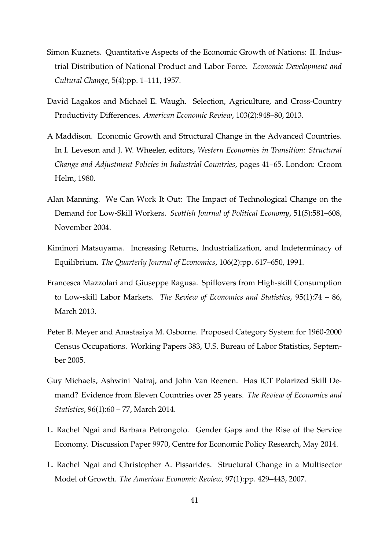- Simon Kuznets. Quantitative Aspects of the Economic Growth of Nations: II. Industrial Distribution of National Product and Labor Force. *Economic Development and Cultural Change*, 5(4):pp. 1–111, 1957.
- David Lagakos and Michael E. Waugh. Selection, Agriculture, and Cross-Country Productivity Differences. *American Economic Review*, 103(2):948–80, 2013.
- A Maddison. Economic Growth and Structural Change in the Advanced Countries. In I. Leveson and J. W. Wheeler, editors, *Western Economies in Transition: Structural Change and Adjustment Policies in Industrial Countries*, pages 41–65. London: Croom Helm, 1980.
- Alan Manning. We Can Work It Out: The Impact of Technological Change on the Demand for Low-Skill Workers. *Scottish Journal of Political Economy*, 51(5):581–608, November 2004.
- Kiminori Matsuyama. Increasing Returns, Industrialization, and Indeterminacy of Equilibrium. *The Quarterly Journal of Economics*, 106(2):pp. 617–650, 1991.
- Francesca Mazzolari and Giuseppe Ragusa. Spillovers from High-skill Consumption to Low-skill Labor Markets. *The Review of Economics and Statistics*, 95(1):74 – 86, March 2013.
- Peter B. Meyer and Anastasiya M. Osborne. Proposed Category System for 1960-2000 Census Occupations. Working Papers 383, U.S. Bureau of Labor Statistics, September 2005.
- Guy Michaels, Ashwini Natraj, and John Van Reenen. Has ICT Polarized Skill Demand? Evidence from Eleven Countries over 25 years. *The Review of Economics and Statistics*, 96(1):60 – 77, March 2014.
- L. Rachel Ngai and Barbara Petrongolo. Gender Gaps and the Rise of the Service Economy. Discussion Paper 9970, Centre for Economic Policy Research, May 2014.
- L. Rachel Ngai and Christopher A. Pissarides. Structural Change in a Multisector Model of Growth. *The American Economic Review*, 97(1):pp. 429–443, 2007.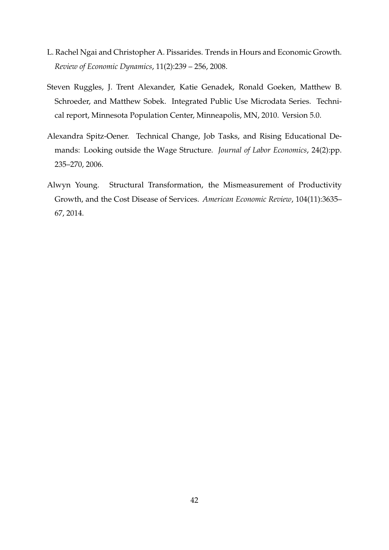- L. Rachel Ngai and Christopher A. Pissarides. Trends in Hours and Economic Growth. *Review of Economic Dynamics*, 11(2):239 – 256, 2008.
- Steven Ruggles, J. Trent Alexander, Katie Genadek, Ronald Goeken, Matthew B. Schroeder, and Matthew Sobek. Integrated Public Use Microdata Series. Technical report, Minnesota Population Center, Minneapolis, MN, 2010. Version 5.0.
- Alexandra Spitz-Oener. Technical Change, Job Tasks, and Rising Educational Demands: Looking outside the Wage Structure. *Journal of Labor Economics*, 24(2):pp. 235–270, 2006.
- Alwyn Young. Structural Transformation, the Mismeasurement of Productivity Growth, and the Cost Disease of Services. *American Economic Review*, 104(11):3635– 67, 2014.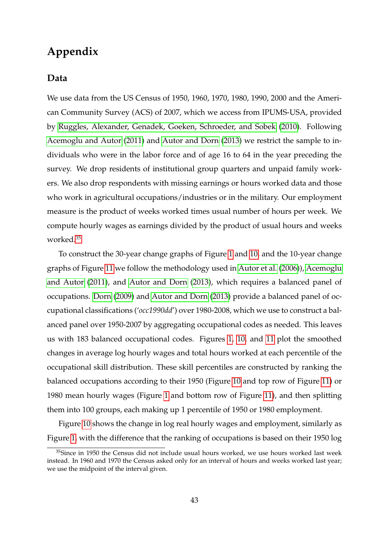# **Appendix**

### **Data**

We use data from the US Census of 1950, 1960, 1970, 1980, 1990, 2000 and the American Community Survey (ACS) of 2007, which we access from IPUMS-USA, provided by Ruggles, Alexander, Genadek, Goeken, Schroeder, and Sobek (2010). Following Acemoglu and Autor (2011) and Autor and Dorn (2013) we restrict the sample to individuals who were in the labor force and of age 16 to 64 in the year preceding the survey. We drop residents of institutional group quarters and unpaid family workers. We also drop respondents with missing earnings or hours worked data and those who work in agricultural occupations/industries or in the military. Our employment measure is the product of weeks worked times usual number of hours per week. We compute hourly wages as earnings divided by the product of usual hours and weeks worked.35

To construct the 30-year change graphs of Figure 1 and 10, and the 10-year change graphs of Figure 11 we follow the methodology used in Autor et al. (2006)), Acemoglu and Autor (2011), and Autor and Dorn (2013), which requires a balanced panel of occupations. Dorn (2009) and Autor and Dorn (2013) provide a balanced panel of occupational classifications ('*occ1990dd*') over 1980-2008, which we use to construct a balanced panel over 1950-2007 by aggregating occupational codes as needed. This leaves us with 183 balanced occupational codes. Figures 1, 10, and 11 plot the smoothed changes in average log hourly wages and total hours worked at each percentile of the occupational skill distribution. These skill percentiles are constructed by ranking the balanced occupations according to their 1950 (Figure 10 and top row of Figure 11) or 1980 mean hourly wages (Figure 1 and bottom row of Figure 11), and then splitting them into 100 groups, each making up 1 percentile of 1950 or 1980 employment.

Figure 10 shows the change in log real hourly wages and employment, similarly as Figure 1, with the difference that the ranking of occupations is based on their 1950 log

 $35$ Since in 1950 the Census did not include usual hours worked, we use hours worked last week instead. In 1960 and 1970 the Census asked only for an interval of hours and weeks worked last year; we use the midpoint of the interval given.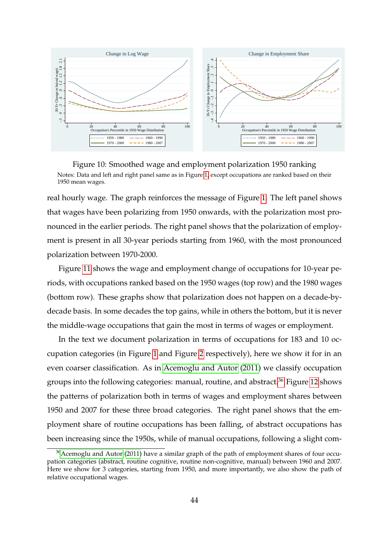

Figure 10: Smoothed wage and employment polarization 1950 ranking Notes: Data and left and right panel same as in Figure 1, except occupations are ranked based on their 1950 mean wages.

real hourly wage. The graph reinforces the message of Figure 1. The left panel shows that wages have been polarizing from 1950 onwards, with the polarization most pronounced in the earlier periods. The right panel shows that the polarization of employment is present in all 30-year periods starting from 1960, with the most pronounced polarization between 1970-2000.

Figure 11 shows the wage and employment change of occupations for 10-year periods, with occupations ranked based on the 1950 wages (top row) and the 1980 wages (bottom row). These graphs show that polarization does not happen on a decade-bydecade basis. In some decades the top gains, while in others the bottom, but it is never the middle-wage occupations that gain the most in terms of wages or employment.

In the text we document polarization in terms of occupations for 183 and 10 occupation categories (in Figure 1 and Figure 2 respectively), here we show it for in an even coarser classification. As in Acemoglu and Autor (2011) we classify occupation groups into the following categories: manual, routine, and abstract.<sup>36</sup> Figure 12 shows the patterns of polarization both in terms of wages and employment shares between 1950 and 2007 for these three broad categories. The right panel shows that the employment share of routine occupations has been falling, of abstract occupations has been increasing since the 1950s, while of manual occupations, following a slight com-

 $36$ Acemoglu and Autor (2011) have a similar graph of the path of employment shares of four occupation categories (abstract, routine cognitive, routine non-cognitive, manual) between 1960 and 2007. Here we show for 3 categories, starting from 1950, and more importantly, we also show the path of relative occupational wages.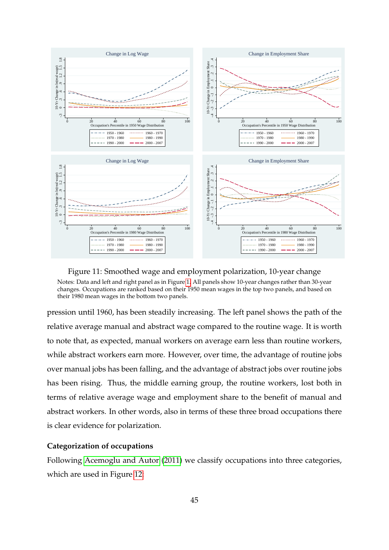

Figure 11: Smoothed wage and employment polarization, 10-year change Notes: Data and left and right panel as in Figure 1. All panels show 10-year changes rather than 30-year changes. Occupations are ranked based on their 1950 mean wages in the top two panels, and based on their 1980 mean wages in the bottom two panels.

pression until 1960, has been steadily increasing. The left panel shows the path of the relative average manual and abstract wage compared to the routine wage. It is worth to note that, as expected, manual workers on average earn less than routine workers, while abstract workers earn more. However, over time, the advantage of routine jobs over manual jobs has been falling, and the advantage of abstract jobs over routine jobs has been rising. Thus, the middle earning group, the routine workers, lost both in terms of relative average wage and employment share to the benefit of manual and abstract workers. In other words, also in terms of these three broad occupations there is clear evidence for polarization.

### **Categorization of occupations**

Following Acemoglu and Autor (2011) we classify occupations into three categories, which are used in Figure 12: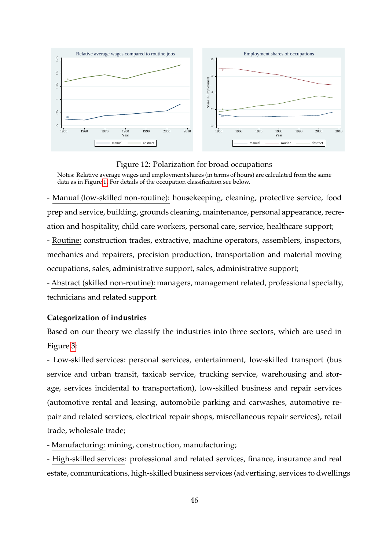

Figure 12: Polarization for broad occupations

Notes: Relative average wages and employment shares (in terms of hours) are calculated from the same data as in Figure 1. For details of the occupation classification see below.

- Manual (low-skilled non-routine): housekeeping, cleaning, protective service, food prep and service, building, grounds cleaning, maintenance, personal appearance, recreation and hospitality, child care workers, personal care, service, healthcare support;

- Routine: construction trades, extractive, machine operators, assemblers, inspectors, mechanics and repairers, precision production, transportation and material moving occupations, sales, administrative support, sales, administrative support;

- Abstract (skilled non-routine): managers, management related, professional specialty, technicians and related support.

#### **Categorization of industries**

Based on our theory we classify the industries into three sectors, which are used in Figure 3:

- Low-skilled services: personal services, entertainment, low-skilled transport (bus service and urban transit, taxicab service, trucking service, warehousing and storage, services incidental to transportation), low-skilled business and repair services (automotive rental and leasing, automobile parking and carwashes, automotive repair and related services, electrical repair shops, miscellaneous repair services), retail trade, wholesale trade;

- Manufacturing: mining, construction, manufacturing;

- High-skilled services: professional and related services, finance, insurance and real estate, communications, high-skilled business services (advertising, services to dwellings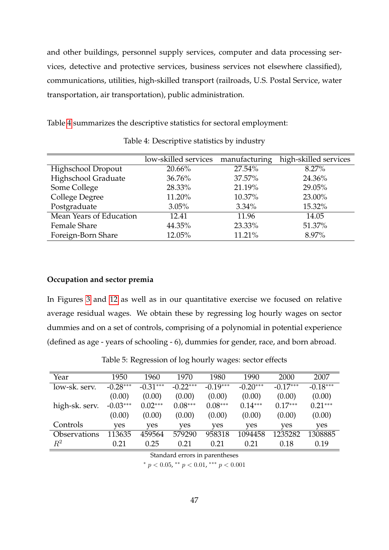and other buildings, personnel supply services, computer and data processing services, detective and protective services, business services not elsewhere classified), communications, utilities, high-skilled transport (railroads, U.S. Postal Service, water transportation, air transportation), public administration.

Table 4 summarizes the descriptive statistics for sectoral employment:

|                         | low-skilled services manufacturing |          | high-skilled services |
|-------------------------|------------------------------------|----------|-----------------------|
| Highschool Dropout      | 20.66%                             | 27.54%   | 8.27%                 |
| Highschool Graduate     | 36.76%                             | 37.57%   | 24.36%                |
| Some College            | 28.33%                             | 21.19%   | 29.05%                |
| College Degree          | 11.20%                             | 10.37%   | 23.00%                |
| Postgraduate            | 3.05%                              | $3.34\%$ | 15.32%                |
| Mean Years of Education | 12.41                              | 11.96    | 14.05                 |
| <b>Female Share</b>     | 44.35%                             | 23.33%   | 51.37%                |
| Foreign-Born Share      | 12.05%                             | 11.21%   | 8.97%                 |

Table 4: Descriptive statistics by industry

#### **Occupation and sector premia**

In Figures 3 and 12 as well as in our quantitative exercise we focused on relative average residual wages. We obtain these by regressing log hourly wages on sector dummies and on a set of controls, comprising of a polynomial in potential experience (defined as age - years of schooling - 6), dummies for gender, race, and born abroad.

| Year           | 1950       | 1960       | 1970       | 1980       | 1990       | 2000       | 2007       |
|----------------|------------|------------|------------|------------|------------|------------|------------|
| low-sk. serv.  | $-0.28***$ | $-0.31***$ | $-0.22***$ | $-0.19***$ | $-0.20***$ | $-0.17***$ | $-0.18***$ |
|                | (0.00)     | (0.00)     | (0.00)     | (0.00)     | (0.00)     | (0.00)     | (0.00)     |
| high-sk. serv. | $-0.03***$ | $0.02***$  | $0.08***$  | $0.08***$  | $0.14***$  | $0.17***$  | $0.21***$  |
|                | (0.00)     | (0.00)     | (0.00)     | (0.00)     | (0.00)     | (0.00)     | (0.00)     |
| Controls       | yes        | ves        | yes        | yes        | yes        | yes        | yes        |
| Observations   | 113635     | 459564     | 579290     | 958318     | 1094458    | 1235282    | 1308885    |
| $\,R^2$        | 0.21       | 0.25       | 0.21       | 0.21       | 0.21       | 0.18       | 0.19       |

Table 5: Regression of log hourly wages: sector effects

Standard errors in parentheses

\*  $p < 0.05$ , \*\*  $p < 0.01$ , \*\*\*  $p < 0.001$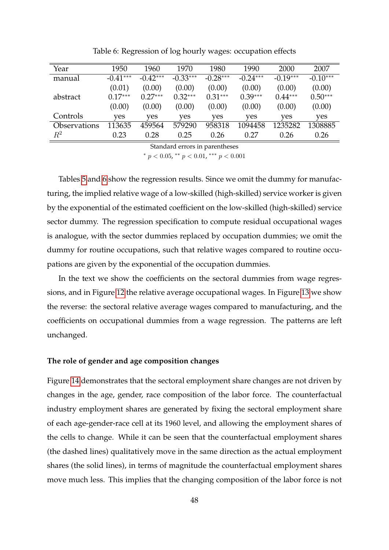| Year                | 1950       | 1960       | 1970       | 1980       | 1990       | 2000       | 2007       |
|---------------------|------------|------------|------------|------------|------------|------------|------------|
| manual              | $-0.41***$ | $-0.42***$ | $-0.33***$ | $-0.28***$ | $-0.24***$ | $-0.19***$ | $-0.10***$ |
|                     | (0.01)     | (0.00)     | (0.00)     | (0.00)     | (0.00)     | (0.00)     | (0.00)     |
| abstract            | $0.17***$  | $0.27***$  | $0.32***$  | $0.31***$  | $0.39***$  | $0.44***$  | $0.50***$  |
|                     | (0.00)     | (0.00)     | (0.00)     | (0.00)     | (0.00)     | (0.00)     | (0.00)     |
| Controls            | yes        | yes        | yes        | yes        | yes        | yes        | yes        |
| <b>Observations</b> | 113635     | 459564     | 579290     | 958318     | 1094458    | 1235282    | 1308885    |
| $\,R^2$             | 0.23       | 0.28       | 0.25       | 0.26       | 0.27       | 0.26       | 0.26       |

Table 6: Regression of log hourly wages: occupation effects

Standard errors in parentheses \*  $p < 0.05$ , \*\*  $p < 0.01$ , \*\*\*  $p < 0.001$ 

Tables 5 and 6 show the regression results. Since we omit the dummy for manufacturing, the implied relative wage of a low-skilled (high-skilled) service worker is given by the exponential of the estimated coefficient on the low-skilled (high-skilled) service sector dummy. The regression specification to compute residual occupational wages is analogue, with the sector dummies replaced by occupation dummies; we omit the dummy for routine occupations, such that relative wages compared to routine occupations are given by the exponential of the occupation dummies.

In the text we show the coefficients on the sectoral dummies from wage regressions, and in Figure 12 the relative average occupational wages. In Figure 13 we show the reverse: the sectoral relative average wages compared to manufacturing, and the coefficients on occupational dummies from a wage regression. The patterns are left unchanged.

#### **The role of gender and age composition changes**

Figure 14 demonstrates that the sectoral employment share changes are not driven by changes in the age, gender, race composition of the labor force. The counterfactual industry employment shares are generated by fixing the sectoral employment share of each age-gender-race cell at its 1960 level, and allowing the employment shares of the cells to change. While it can be seen that the counterfactual employment shares (the dashed lines) qualitatively move in the same direction as the actual employment shares (the solid lines), in terms of magnitude the counterfactual employment shares move much less. This implies that the changing composition of the labor force is not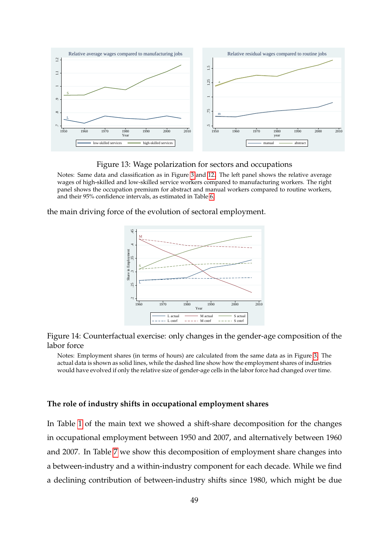

Figure 13: Wage polarization for sectors and occupations

Notes: Same data and classification as in Figure 3 and 12. The left panel shows the relative average wages of high-skilled and low-skilled service workers compared to manufacturing workers. The right panel shows the occupation premium for abstract and manual workers compared to routine workers, and their 95% confidence intervals, as estimated in Table 6.

the main driving force of the evolution of sectoral employment.



Figure 14: Counterfactual exercise: only changes in the gender-age composition of the labor force

Notes: Employment shares (in terms of hours) are calculated from the same data as in Figure 3. The actual data is shown as solid lines, while the dashed line show how the employment shares of industries would have evolved if only the relative size of gender-age cells in the labor force had changed over time.

#### **The role of industry shifts in occupational employment shares**

In Table 1 of the main text we showed a shift-share decomposition for the changes in occupational employment between 1950 and 2007, and alternatively between 1960 and 2007. In Table 7 we show this decomposition of employment share changes into a between-industry and a within-industry component for each decade. While we find a declining contribution of between-industry shifts since 1980, which might be due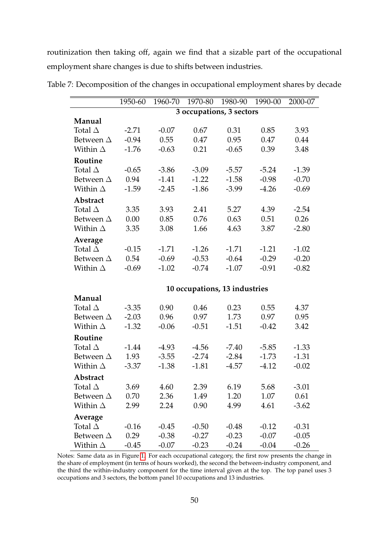routinization then taking off, again we find that a sizable part of the occupational employment share changes is due to shifts between industries.

|                  | 1950-60 | 1960-70 | 1970-80 | 1980-90                       | 1990-00 | 2000-07 |
|------------------|---------|---------|---------|-------------------------------|---------|---------|
|                  |         |         |         | 3 occupations, 3 sectors      |         |         |
| Manual           |         |         |         |                               |         |         |
| Total $\Delta$   | $-2.71$ | $-0.07$ | 0.67    | 0.31                          | 0.85    | 3.93    |
| Between $\Delta$ | $-0.94$ | 0.55    | 0.47    | 0.95                          | 0.47    | 0.44    |
| Within $\Delta$  | $-1.76$ | $-0.63$ | 0.21    | $-0.65$                       | 0.39    | 3.48    |
| Routine          |         |         |         |                               |         |         |
| Total $\Delta$   | $-0.65$ | $-3.86$ | $-3.09$ | $-5.57$                       | $-5.24$ | $-1.39$ |
| Between $\Delta$ | 0.94    | $-1.41$ | $-1.22$ | $-1.58$                       | $-0.98$ | $-0.70$ |
| Within $\Delta$  | $-1.59$ | $-2.45$ | $-1.86$ | $-3.99$                       | $-4.26$ | $-0.69$ |
| Abstract         |         |         |         |                               |         |         |
| Total $\Delta$   | 3.35    | 3.93    | 2.41    | 5.27                          | 4.39    | $-2.54$ |
| Between $\Delta$ | 0.00    | 0.85    | 0.76    | 0.63                          | 0.51    | 0.26    |
| Within $\Delta$  | 3.35    | 3.08    | 1.66    | 4.63                          | 3.87    | $-2.80$ |
| Average          |         |         |         |                               |         |         |
| Total $\Delta$   | $-0.15$ | $-1.71$ | $-1.26$ | $-1.71$                       | $-1.21$ | $-1.02$ |
| Between $\Delta$ | 0.54    | $-0.69$ | $-0.53$ | $-0.64$                       | $-0.29$ | $-0.20$ |
| Within $\Delta$  | $-0.69$ | $-1.02$ | $-0.74$ | $-1.07$                       | $-0.91$ | $-0.82$ |
|                  |         |         |         |                               |         |         |
|                  |         |         |         | 10 occupations, 13 industries |         |         |
| Manual           |         |         |         |                               |         |         |
| Total $\Delta$   | $-3.35$ | 0.90    | 0.46    | 0.23                          | 0.55    | 4.37    |
| Between $\Delta$ | $-2.03$ | 0.96    | 0.97    | 1.73                          | 0.97    | 0.95    |
| Within $\Delta$  | $-1.32$ | $-0.06$ | $-0.51$ | $-1.51$                       | $-0.42$ | 3.42    |
| Routine          |         |         |         |                               |         |         |
| Total $\Delta$   | $-1.44$ | $-4.93$ | $-4.56$ | $-7.40$                       | $-5.85$ | $-1.33$ |
| Between $\Delta$ | 1.93    | $-3.55$ | $-2.74$ | $-2.84$                       | $-1.73$ | $-1.31$ |
| Within $\Delta$  | $-3.37$ | $-1.38$ | $-1.81$ | $-4.57$                       | $-4.12$ | $-0.02$ |
| Abstract         |         |         |         |                               |         |         |
| Total $\Delta$   | 3.69    | 4.60    | 2.39    | 6.19                          | 5.68    | $-3.01$ |
| Between $\Delta$ | 0.70    | 2.36    | 1.49    | 1.20                          | 1.07    | 0.61    |
| Within $\Delta$  | 2.99    | 2.24    | 0.90    | 4.99                          | 4.61    | $-3.62$ |
| Average          |         |         |         |                               |         |         |
| Total $\Delta$   | $-0.16$ | $-0.45$ | $-0.50$ | $-0.48$                       | $-0.12$ | $-0.31$ |
| Between $\Delta$ | 0.29    | $-0.38$ | $-0.27$ | $-0.23$                       | $-0.07$ | $-0.05$ |
| Within $\Delta$  | $-0.45$ | $-0.07$ | $-0.23$ | $-0.24$                       | $-0.04$ | $-0.26$ |

Table 7: Decomposition of the changes in occupational employment shares by decade

Notes: Same data as in Figure 1. For each occupational category, the first row presents the change in the share of employment (in terms of hours worked), the second the between-industry component, and the third the within-industry component for the time interval given at the top. The top panel uses 3 occupations and 3 sectors, the bottom panel 10 occupations and 13 industries.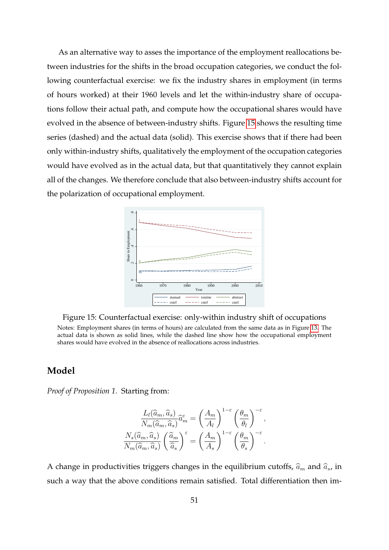As an alternative way to asses the importance of the employment reallocations between industries for the shifts in the broad occupation categories, we conduct the following counterfactual exercise: we fix the industry shares in employment (in terms of hours worked) at their 1960 levels and let the within-industry share of occupations follow their actual path, and compute how the occupational shares would have evolved in the absence of between-industry shifts. Figure 15 shows the resulting time series (dashed) and the actual data (solid). This exercise shows that if there had been only within-industry shifts, qualitatively the employment of the occupation categories would have evolved as in the actual data, but that quantitatively they cannot explain all of the changes. We therefore conclude that also between-industry shifts account for the polarization of occupational employment.



Figure 15: Counterfactual exercise: only-within industry shift of occupations Notes: Employment shares (in terms of hours) are calculated from the same data as in Figure 13. The actual data is shown as solid lines, while the dashed line show how the occupational employment shares would have evolved in the absence of reallocations across industries.

## **Model**

*Proof of Proposition 1.* Starting from:

$$
\frac{L_l(\widehat{a}_m, \widehat{a}_s)}{N_m(\widehat{a}_m, \widehat{a}_s)} \widehat{a}_m^{\varepsilon} = \left(\frac{A_m}{A_l}\right)^{1-\varepsilon} \left(\frac{\theta_m}{\theta_l}\right)^{-\varepsilon},
$$

$$
\frac{N_s(\widehat{a}_m, \widehat{a}_s)}{N_m(\widehat{a}_m, \widehat{a}_s)} \left(\frac{\widehat{a}_m}{\widehat{a}_s}\right)^{\varepsilon} = \left(\frac{A_m}{A_s}\right)^{1-\varepsilon} \left(\frac{\theta_m}{\theta_s}\right)^{-\varepsilon}.
$$

A change in productivities triggers changes in the equilibrium cutoffs,  $\hat{a}_m$  and  $\hat{a}_s$ , in such a way that the above conditions remain satisfied. Total differentiation then im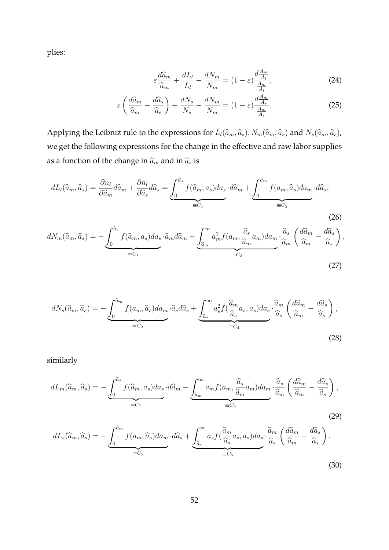plies:

$$
\varepsilon \frac{d\widehat{a}_m}{\widehat{a}_m} + \frac{dL_l}{L_l} - \frac{dN_m}{N_m} = (1 - \varepsilon) \frac{d\frac{A_m}{A_l}}{\frac{A_m}{A_l}},\tag{24}
$$

$$
\varepsilon \left( \frac{d\widehat{a}_m}{\widehat{a}_m} - \frac{d\widehat{a}_s}{\widehat{a}_s} \right) + \frac{dN_s}{N_s} - \frac{dN_m}{N_m} = (1 - \varepsilon) \frac{d\frac{A_m}{A_s}}{\frac{A_m}{A_s}}.
$$
 (25)

Applying the Leibniz rule to the expressions for  $L_l(\widehat{a}_m, \widehat{a}_s)$ ,  $N_m(\widehat{a}_m, \widehat{a}_s)$  and  $N_s(\widehat{a}_m, \widehat{a}_s)$ , we get the following expressions for the change in the effective and raw labor supplies as a function of the change in  $\widehat{a}_m$  and in  $\widehat{a}_s$  is

$$
dL_l(\widehat{a}_m, \widehat{a}_s) = \frac{\partial n_l}{\partial \widehat{a}_m} d\widehat{a}_m + \frac{\partial n_l}{\partial \widehat{a}_s} d\widehat{a}_s = \underbrace{\int_0^{\widehat{a}_s} f(\widehat{a}_m, a_s) da_s}_{=:C_1} \cdot d\widehat{a}_m + \underbrace{\int_0^{\widehat{a}_m} f(a_m, \widehat{a}_s) da_m}_{=:C_2} \cdot d\widehat{a}_s,
$$
\n(26)

$$
dN_m(\widehat{a}_m, \widehat{a}_s) = -\underbrace{\int_0^{\widehat{a}_s} f(\widehat{a}_m, a_s) da_s \cdot \widehat{a}_m d\widehat{a}_m}_{=C_1} - \underbrace{\int_{\widehat{a}_m}^{\infty} a_m^2 f(a_m, \frac{\widehat{a}_s}{\widehat{a}_m} a_m) da_m}_{\equiv C_3} \cdot \frac{\widehat{a}_s}{\widehat{a}_m} \left( \frac{d\widehat{a}_m}{\widehat{a}_m} - \frac{d\widehat{a}_s}{\widehat{a}_s} \right),
$$
\n(27)

$$
dN_s(\widehat{a}_m, \widehat{a}_s) = -\underbrace{\int_0^{\widehat{a}_m} f(a_m, \widehat{a}_s) da_m}_{=:C_2} \cdot \widehat{a}_s d\widehat{a}_s + \underbrace{\int_{\widehat{a}_s}^{\infty} a_s^2 f(\frac{\widehat{a}_m}{\widehat{a}_s} a_s, a_s) da_s}_{\equiv C_4} \cdot \frac{\widehat{a}_m}{\widehat{a}_s} \left(\frac{d\widehat{a}_m}{\widehat{a}_m} - \frac{d\widehat{a}_s}{\widehat{a}_s}\right),
$$
\n
$$
(28)
$$

similarly

$$
dL_m(\widehat{a}_m, \widehat{a}_s) = -\underbrace{\int_0^{\widehat{a}_s} f(\widehat{a}_m, a_s) da_s \cdot d\widehat{a}_m}_{=C_1} - \underbrace{\int_{{\widehat{a}_m}}^{\infty} a_m f(a_m, \frac{\widehat{a}_s}{\widehat{a}_m} a_m) da_m}_{\equiv C_5} \cdot \frac{\widehat{a}_s}{\widehat{a}_m} \left( \frac{d\widehat{a}_m}{\widehat{a}_m} - \frac{d\widehat{a}_s}{\widehat{a}_s} \right),
$$
\n(29)

$$
dL_s(\widehat{a}_m, \widehat{a}_s) = -\underbrace{\int_0^{\widehat{a}_m} f(a_m, \widehat{a}_s) da_m}_{=:C_2} \cdot d\widehat{a}_s + \underbrace{\int_{\widehat{a}_s}^{\infty} a_s f(\frac{\widehat{a}_m}{\widehat{a}_s} a_s, a_s) da_s}_{\equiv C_6} \cdot \frac{\widehat{a}_m}{\widehat{a}_s} \left(\frac{d\widehat{a}_m}{\widehat{a}_m} - \frac{d\widehat{a}_s}{\widehat{a}_s}\right).
$$
\n(30)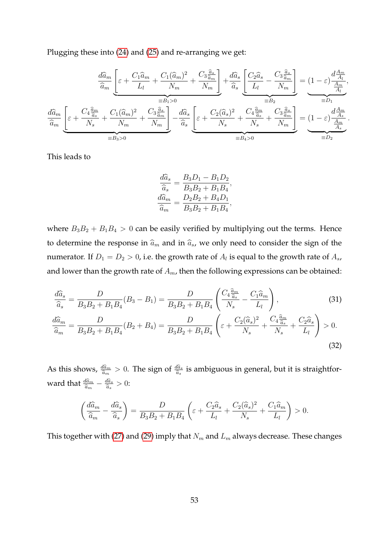Plugging these into (24) and (25) and re-arranging we get:

$$
\frac{d\widehat{a}_{m}}{\widehat{a}_{m}}\underbrace{\left[\varepsilon+\frac{C_{1}\widehat{a}_{m}}{L_{l}}+\frac{C_{1}(\widehat{a}_{m})^{2}}{N_{m}}+\frac{C_{3}\frac{\widehat{a}_{s}}{\widehat{a}_{m}}}{N_{m}}\right]+\frac{d\widehat{a}_{s}}{\widehat{a}_{s}}\underbrace{\left[\frac{C_{2}\widehat{a}_{s}}{L_{l}}-\frac{C_{3}\frac{\widehat{a}_{s}}{\widehat{a}_{m}}}{N_{m}}\right]}_{\equiv B_{2}}=\underbrace{(1-\varepsilon)\frac{d\frac{A_{m}}{A_{l}}}{\frac{A_{m}}{A_{l}}},
$$
\n
$$
\frac{d\widehat{a}_{m}}{\widehat{a}_{m}}\underbrace{\left[\varepsilon+\frac{C_{4}\frac{\widehat{a}_{m}}{\widehat{a}_{s}}}{N_{s}}+\frac{C_{1}(\widehat{a}_{m})^{2}}{N_{m}}+\frac{C_{3}\frac{\widehat{a}_{s}}{\widehat{a}_{m}}}{N_{m}}\right]}_{\equiv B_{3}>0}-\frac{d\widehat{a}_{s}}{\widehat{a}_{s}}\underbrace{\left[\varepsilon+\frac{C_{2}(\widehat{a}_{s})^{2}}{N_{s}}+\frac{C_{4}\frac{\widehat{a}_{m}}{\widehat{a}_{s}}}{N_{s}}+\frac{C_{3}\frac{\widehat{a}_{s}}{\widehat{a}_{m}}}{N_{m}}\right]}_{\equiv B_{4}>0}=\underbrace{(1-\varepsilon)\frac{d\frac{A_{m}}{A_{s}}}{\frac{A_{m}}{A_{s}}}}_{\equiv D_{2}}.
$$

This leads to

$$
\frac{d\widehat{a}_s}{\widehat{a}_s} = \frac{B_3 D_1 - B_1 D_2}{B_3 B_2 + B_1 B_4},
$$

$$
\frac{d\widehat{a}_m}{\widehat{a}_m} = \frac{D_2 B_2 + B_4 D_1}{B_3 B_2 + B_1 B_4},
$$

where  $B_3B_2 + B_1B_4 > 0$  can be easily verified by multiplying out the terms. Hence to determine the response in  $\widehat{a}_m$  and in  $\widehat{a}_s$ , we only need to consider the sign of the numerator. If  $D_1=D_2>0$ , i.e. the growth rate of  $A_l$  is equal to the growth rate of  $A_s$ , and lower than the growth rate of  $A<sub>m</sub>$ , then the following expressions can be obtained:

$$
\frac{d\hat{a}_s}{\hat{a}_s} = \frac{D}{B_3 B_2 + B_1 B_4} (B_3 - B_1) = \frac{D}{B_3 B_2 + B_1 B_4} \left( \frac{C_4 \frac{\hat{a}_m}{\hat{a}_s}}{N_s} - \frac{C_1 \hat{a}_m}{L_l} \right),\tag{31}
$$

$$
\frac{d\widehat{a}_m}{\widehat{a}_m} = \frac{D}{B_3 B_2 + B_1 B_4} (B_2 + B_4) = \frac{D}{B_3 B_2 + B_1 B_4} \left( \varepsilon + \frac{C_2(\widehat{a}_s)^2}{N_s} + \frac{C_4 \frac{\widehat{a}_m}{\widehat{a}_s}}{N_s} + \frac{C_2 \widehat{a}_s}{L_l} \right) > 0. \tag{32}
$$

As this shows,  $\frac{d\hat{a}_m}{\hat{a}_m}$  $\widehat{a}_m$  $> 0$ . The sign of  $\frac{d\hat{a}_s}{\hat{a}_s}$  $\frac{da_s}{\widehat{a}_s}$  is ambiguous in general, but it is straightforward that  $\frac{d\widehat{a}_m}{\widehat{a}_m}$  $\frac{d\widehat{a}_m}{\widehat{a}_m} - \frac{d\widehat{a}_s}{\widehat{a}_s}$  $\frac{da_s}{\widehat{a}_s}>0$ :

$$
\left(\frac{d\widehat{a}_m}{\widehat{a}_m} - \frac{d\widehat{a}_s}{\widehat{a}_s}\right) = \frac{D}{B_3B_2 + B_1B_4} \left(\varepsilon + \frac{C_2\widehat{a}_s}{L_l} + \frac{C_2(\widehat{a}_s)^2}{N_s} + \frac{C_1\widehat{a}_m}{L_l}\right) > 0.
$$

This together with (27) and (29) imply that  $N_m$  and  $L_m$  always decrease. These changes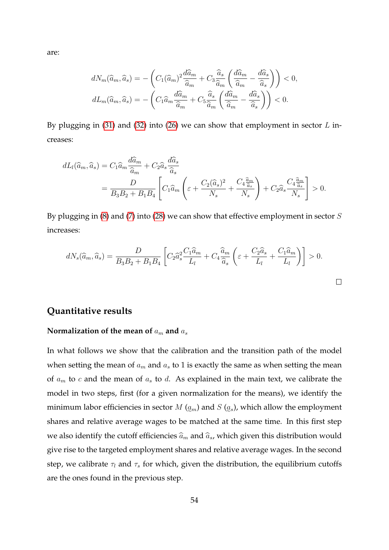are:

$$
dN_m(\widehat{a}_m, \widehat{a}_s) = -\left(C_1(\widehat{a}_m)^2 \frac{d\widehat{a}_m}{\widehat{a}_m} + C_3 \frac{\widehat{a}_s}{\widehat{a}_m} \left(\frac{d\widehat{a}_m}{\widehat{a}_m} - \frac{d\widehat{a}_s}{\widehat{a}_s}\right)\right) < 0,
$$
  

$$
dL_m(\widehat{a}_m, \widehat{a}_s) = -\left(C_1 \widehat{a}_m \frac{d\widehat{a}_m}{\widehat{a}_m} + C_5 \frac{\widehat{a}_s}{\widehat{a}_m} \left(\frac{d\widehat{a}_m}{\widehat{a}_m} - \frac{d\widehat{a}_s}{\widehat{a}_s}\right)\right) < 0.
$$

By plugging in  $(31)$  and  $(32)$  into  $(26)$  we can show that employment in sector L increases:

$$
dL_l(\widehat{a}_m, \widehat{a}_s) = C_1 \widehat{a}_m \frac{d\widehat{a}_m}{\widehat{a}_m} + C_2 \widehat{a}_s \frac{d\widehat{a}_s}{\widehat{a}_s}
$$
  
= 
$$
\frac{D}{B_3 B_2 + B_1 B_4} \left[ C_1 \widehat{a}_m \left( \varepsilon + \frac{C_2 (\widehat{a}_s)^2}{N_s} + \frac{C_4 \frac{\widehat{a}_m}{\widehat{a}_s}}{N_s} \right) + C_2 \widehat{a}_s \frac{C_4 \frac{\widehat{a}_m}{\widehat{a}_s}}{N_s} \right] > 0.
$$

By plugging in  $(8)$  and  $(7)$  into  $(28)$  we can show that effective employment in sector  $S$ increases:

$$
dN_s(\widehat{a}_m, \widehat{a}_s) = \frac{D}{B_3 B_2 + B_1 B_4} \left[ C_2 \widehat{a}_s^2 \frac{C_1 \widehat{a}_m}{L_l} + C_4 \frac{\widehat{a}_m}{\widehat{a}_s} \left( \varepsilon + \frac{C_2 \widehat{a}_s}{L_l} + \frac{C_1 \widehat{a}_m}{L_l} \right) \right] > 0.
$$

### **Quantitative results**

#### **Normalization of the mean of**  $a_m$  and  $a_s$

In what follows we show that the calibration and the transition path of the model when setting the mean of  $\mathfrak{a}_m$  and  $\mathfrak{a}_s$  to 1 is exactly the same as when setting the mean of  $a_m$  to c and the mean of  $a_s$  to d. As explained in the main text, we calibrate the model in two steps, first (for a given normalization for the means), we identify the minimum labor efficiencies in sector  $M\left(\underline{a}_m\right)$  and  $S\left(\underline{a}_s\right)$ , which allow the employment shares and relative average wages to be matched at the same time. In this first step we also identify the cutoff efficiencies  $\widehat{a}_m$  and  $\widehat{a}_s$ , which given this distribution would give rise to the targeted employment shares and relative average wages. In the second step, we calibrate  $\tau_l$  and  $\tau_s$  for which, given the distribution, the equilibrium cutoffs are the ones found in the previous step.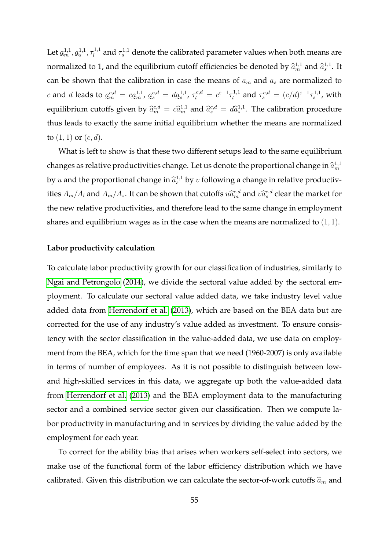Let  $a_m^{1,1}, a_s^{1,1}, \tau_l^{1,1}$ normalized to 1, and the equilibrium cutoff efficiencies be denoted by  $\widehat{a}_{m}^{1,1}$  and  $\widehat{a}_{s}^{1,1}$ . It  $l_l^{1,1}$  and  $\tau_s^{1,1}$  denote the calibrated parameter values when both means are can be shown that the calibration in case the means of  $a_m$  and  $a_s$  are normalized to c and d leads to  $a_m^{c,d} = c a_m^{1,1}, a_s^{c,d} = d a_s^{1,1}, \tau_l^{c,d} = c^{c-1} \tau_l^{1,1}$ equilibrium cutoffs given by  $\hat{a}_m^{c,d} = c \hat{a}_m^{1,1}$  and  $\hat{a}_s^{c,d} = d \hat{a}_s^{1,1}$ . The calibration procedure  $\tau_l^{1,1}$  and  $\tau_s^{c,d} = (c/d)^{\varepsilon-1} \tau_s^{1,1}$ , with thus leads to exactly the same initial equilibrium whether the means are normalized to  $(1, 1)$  or  $(c, d)$ .

What is left to show is that these two different setups lead to the same equilibrium changes as relative productivities change. Let us denote the proportional change in  $\widehat{a}_{m}^{1,1}$ by  $u$  and the proportional change in  $\widehat{a}_s^{1,1}$  by  $v$  following a change in relative productivities  $A_m/A_l$  and  $A_m/A_s$ . It can be shown that cutoffs  $u\widehat{a}_m^{c,d}$  and  $v\widehat{a}_s^{c,d}$  clear the market for the new relative productivities, and therefore lead to the same change in employment shares and equilibrium wages as in the case when the means are normalized to  $(1, 1)$ .

#### **Labor productivity calculation**

To calculate labor productivity growth for our classification of industries, similarly to Ngai and Petrongolo (2014), we divide the sectoral value added by the sectoral employment. To calculate our sectoral value added data, we take industry level value added data from Herrendorf et al. (2013), which are based on the BEA data but are corrected for the use of any industry's value added as investment. To ensure consistency with the sector classification in the value-added data, we use data on employment from the BEA, which for the time span that we need (1960-2007) is only available in terms of number of employees. As it is not possible to distinguish between lowand high-skilled services in this data, we aggregate up both the value-added data from Herrendorf et al. (2013) and the BEA employment data to the manufacturing sector and a combined service sector given our classification. Then we compute labor productivity in manufacturing and in services by dividing the value added by the employment for each year.

To correct for the ability bias that arises when workers self-select into sectors, we make use of the functional form of the labor efficiency distribution which we have calibrated. Given this distribution we can calculate the sector-of-work cutoffs  $\widehat{a}_m$  and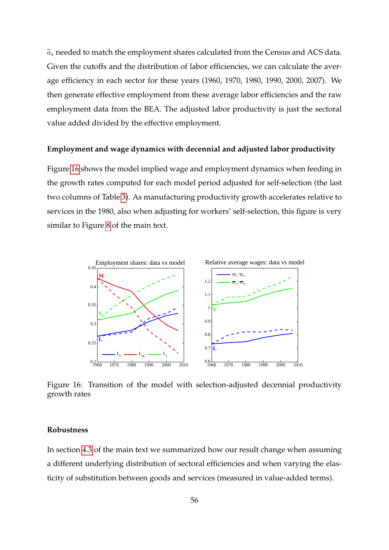$\widehat{a}_s$  needed to match the employment shares calculated from the Census and ACS data. Given the cutoffs and the distribution of labor efficiencies, we can calculate the average efficiency in each sector for these years (1960, 1970, 1980, 1990, 2000, 2007). We then generate effective employment from these average labor efficiencies and the raw employment data from the BEA. The adjusted labor productivity is just the sectoral value added divided by the effective employment.

#### **Employment and wage dynamics with decennial and adjusted labor productivity**

Figure 16 shows the model implied wage and employment dynamics when feeding in the growth rates computed for each model period adjusted for self-selection (the last two columns of Table 3). As manufacturing productivity growth accelerates relative to services in the 1980, also when adjusting for workers' self-selection, this figure is very similar to Figure 8 of the main text.



Figure 16: Transition of the model with selection-adjusted decennial productivity growth rates

#### **Robustness**

In section 4.3 of the main text we summarized how our result change when assuming a different underlying distribution of sectoral efficiencies and when varying the elasticity of substitution between goods and services (measured in value-added terms).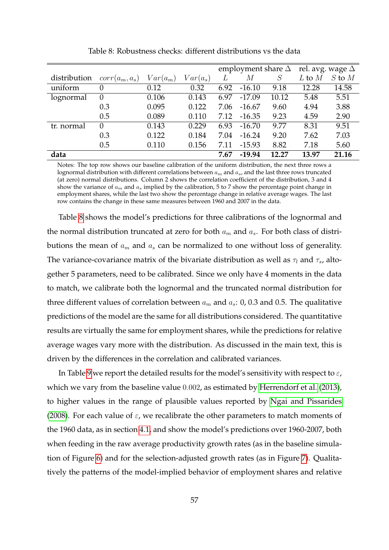|              |                  |            |            | employment share $\Delta$ |          |       | rel. avg. wage $\Delta$ |            |
|--------------|------------------|------------|------------|---------------------------|----------|-------|-------------------------|------------|
| distribution | $corr(a_m, a_s)$ | $Var(a_m)$ | $Var(a_s)$ |                           | М        | S     | $L$ to $M$              | $S$ to $M$ |
| uniform      | 0                | 0.12       | 0.32       | 6.92                      | $-16.10$ | 9.18  | 12.28                   | 14.58      |
| lognormal    | 0                | 0.106      | 0.143      | 6.97                      | $-17.09$ | 10.12 | 5.48                    | 5.51       |
|              | 0.3              | 0.095      | 0.122      | 7.06                      | $-16.67$ | 9.60  | 4.94                    | 3.88       |
|              | 0.5              | 0.089      | 0.110      | 7.12                      | $-16.35$ | 9.23  | 4.59                    | 2.90       |
| tr. normal   | 0                | 0.143      | 0.229      | 6.93                      | $-16.70$ | 9.77  | 8.31                    | 9.51       |
|              | 0.3              | 0.122      | 0.184      | 7.04                      | $-16.24$ | 9.20  | 7.62                    | 7.03       |
|              | 0.5              | 0.110      | 0.156      | 7.11                      | $-15.93$ | 8.82  | 7.18                    | 5.60       |
| data         |                  |            |            | 7.67                      | $-19.94$ | 12.27 | 13.97                   | 21.16      |

Table 8: Robustness checks: different distributions vs the data

Notes: The top row shows our baseline calibration of the uniform distribution, the next three rows a lognormal distribution with different correlations between  $a_m$  and  $a_s$ , and the last three rows truncated (at zero) normal distributions. Column 2 shows the correlation coefficient of the distribution, 3 and 4 show the variance of  $a_m$  and  $a_s$  implied by the calibration, 5 to 7 show the percentage point change in employment shares, while the last two show the percentage change in relative average wages. The last row contains the change in these same measures between 1960 and 2007 in the data.

Table 8 shows the model's predictions for three calibrations of the lognormal and the normal distribution truncated at zero for both  $a_m$  and  $a_s$ . For both class of distributions the mean of  $a_m$  and  $a_s$  can be normalized to one without loss of generality. The variance-covariance matrix of the bivariate distribution as well as  $\tau_l$  and  $\tau_s$ , altogether 5 parameters, need to be calibrated. Since we only have 4 moments in the data to match, we calibrate both the lognormal and the truncated normal distribution for three different values of correlation between  $a_m$  and  $a_s$ : 0, 0.3 and 0.5. The qualitative predictions of the model are the same for all distributions considered. The quantitative results are virtually the same for employment shares, while the predictions for relative average wages vary more with the distribution. As discussed in the main text, this is driven by the differences in the correlation and calibrated variances.

In Table 9 we report the detailed results for the model's sensitivity with respect to  $\varepsilon$ , which we vary from the baseline value 0.002, as estimated by Herrendorf et al. (2013), to higher values in the range of plausible values reported by Ngai and Pissarides (2008). For each value of  $\varepsilon$ , we recalibrate the other parameters to match moments of the 1960 data, as in section 4.1, and show the model's predictions over 1960-2007, both when feeding in the raw average productivity growth rates (as in the baseline simulation of Figure 6) and for the selection-adjusted growth rates (as in Figure 7). Qualitatively the patterns of the model-implied behavior of employment shares and relative